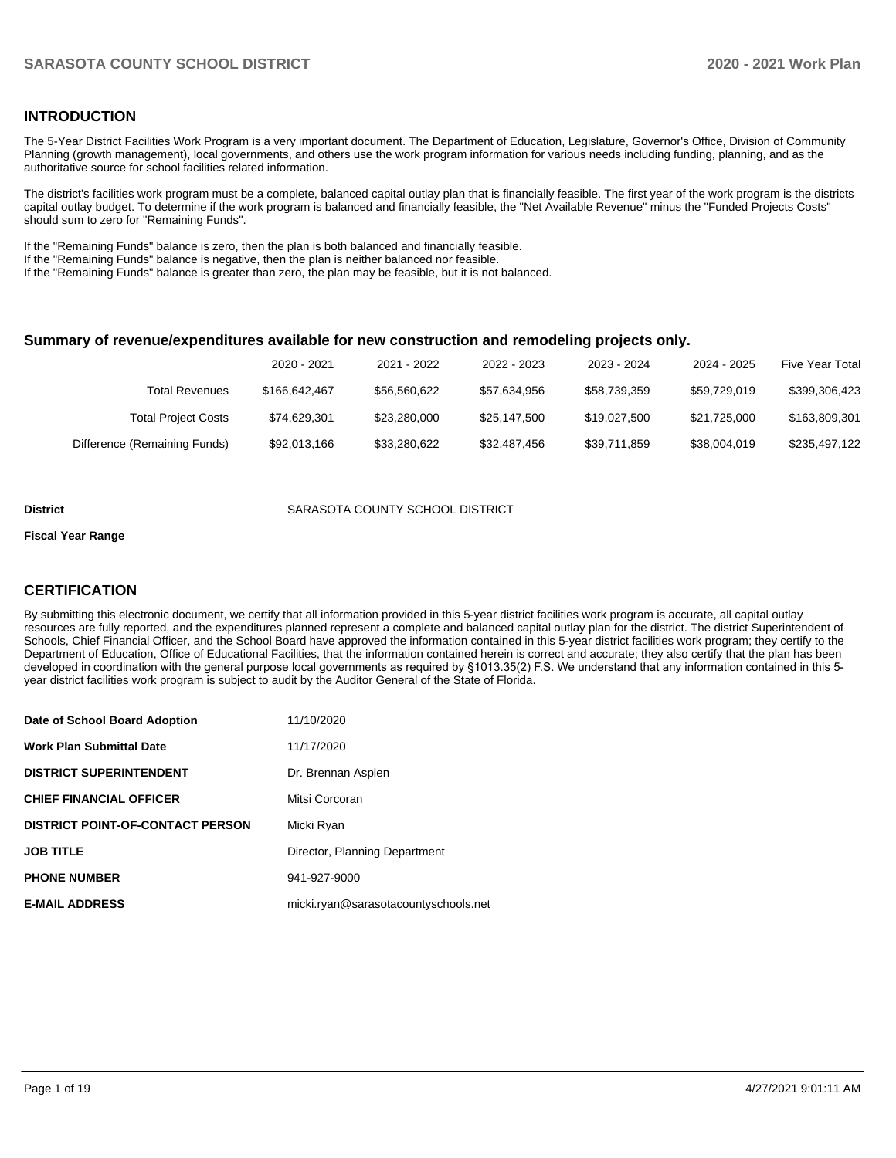#### **INTRODUCTION**

The 5-Year District Facilities Work Program is a very important document. The Department of Education, Legislature, Governor's Office, Division of Community Planning (growth management), local governments, and others use the work program information for various needs including funding, planning, and as the authoritative source for school facilities related information.

The district's facilities work program must be a complete, balanced capital outlay plan that is financially feasible. The first year of the work program is the districts capital outlay budget. To determine if the work program is balanced and financially feasible, the "Net Available Revenue" minus the "Funded Projects Costs" should sum to zero for "Remaining Funds".

If the "Remaining Funds" balance is zero, then the plan is both balanced and financially feasible.

If the "Remaining Funds" balance is negative, then the plan is neither balanced nor feasible.

If the "Remaining Funds" balance is greater than zero, the plan may be feasible, but it is not balanced.

#### **Summary of revenue/expenditures available for new construction and remodeling projects only.**

|                              | 2020 - 2021   | 2021 - 2022  | 2022 - 2023  | 2023 - 2024  | 2024 - 2025  | Five Year Total |
|------------------------------|---------------|--------------|--------------|--------------|--------------|-----------------|
| <b>Total Revenues</b>        | \$166,642,467 | \$56,560,622 | \$57.634.956 | \$58,739,359 | \$59.729.019 | \$399,306,423   |
| <b>Total Project Costs</b>   | \$74.629.301  | \$23,280,000 | \$25,147,500 | \$19.027.500 | \$21.725.000 | \$163,809,301   |
| Difference (Remaining Funds) | \$92,013,166  | \$33,280,622 | \$32,487,456 | \$39.711.859 | \$38,004,019 | \$235.497.122   |

#### **District COUNTY SCHOOL DISTRICT SARASOTA COUNTY SCHOOL DISTRICT**

#### **Fiscal Year Range**

#### **CERTIFICATION**

By submitting this electronic document, we certify that all information provided in this 5-year district facilities work program is accurate, all capital outlay resources are fully reported, and the expenditures planned represent a complete and balanced capital outlay plan for the district. The district Superintendent of Schools, Chief Financial Officer, and the School Board have approved the information contained in this 5-year district facilities work program; they certify to the Department of Education, Office of Educational Facilities, that the information contained herein is correct and accurate; they also certify that the plan has been developed in coordination with the general purpose local governments as required by §1013.35(2) F.S. We understand that any information contained in this 5 year district facilities work program is subject to audit by the Auditor General of the State of Florida.

| Date of School Board Adoption           | 11/10/2020                           |
|-----------------------------------------|--------------------------------------|
| <b>Work Plan Submittal Date</b>         | 11/17/2020                           |
| <b>DISTRICT SUPERINTENDENT</b>          | Dr. Brennan Asplen                   |
| <b>CHIEF FINANCIAL OFFICER</b>          | Mitsi Corcoran                       |
| <b>DISTRICT POINT-OF-CONTACT PERSON</b> | Micki Ryan                           |
| <b>JOB TITLE</b>                        | Director, Planning Department        |
| <b>PHONE NUMBER</b>                     | 941-927-9000                         |
| <b>E-MAIL ADDRESS</b>                   | micki.ryan@sarasotacountyschools.net |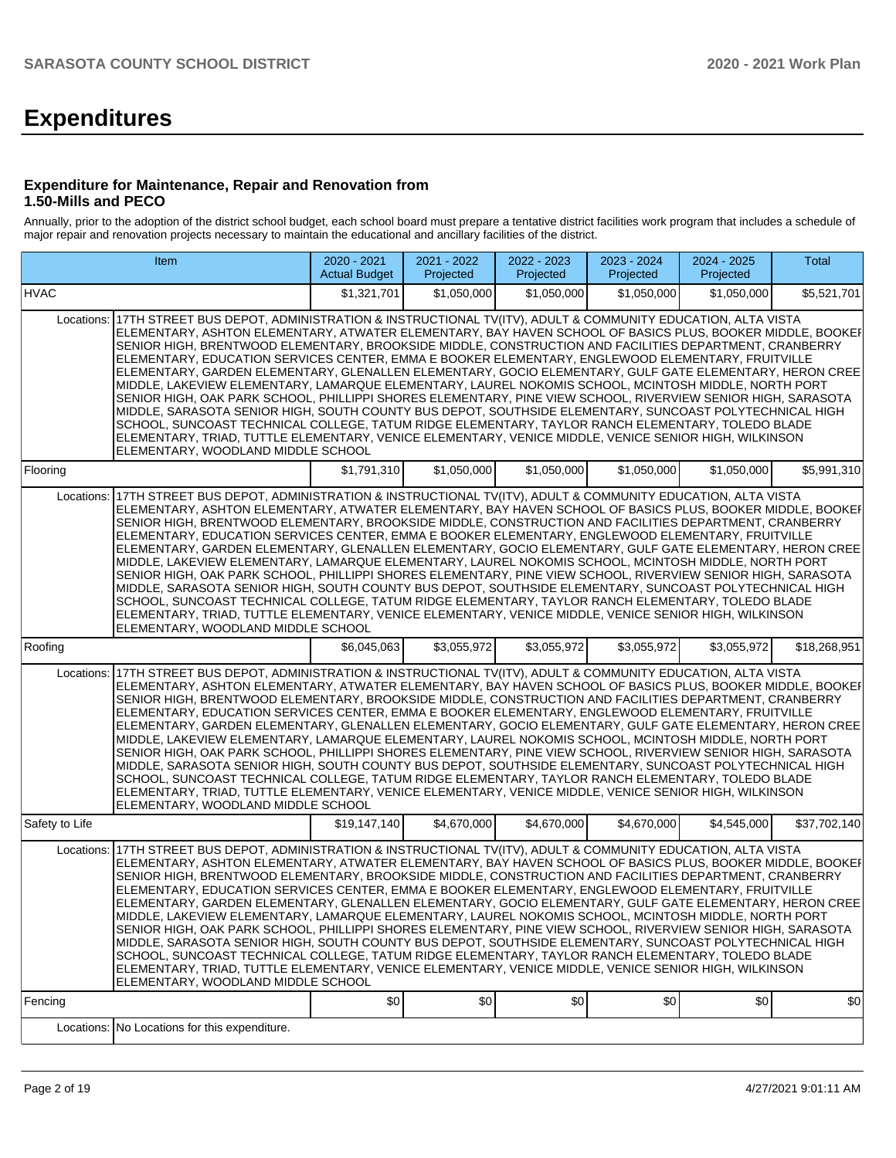# **Expenditures**

#### **Expenditure for Maintenance, Repair and Renovation from 1.50-Mills and PECO**

Annually, prior to the adoption of the district school budget, each school board must prepare a tentative district facilities work program that includes a schedule of major repair and renovation projects necessary to maintain the educational and ancillary facilities of the district.

| Item                                                                                                                                                                                                                                                                                                                                                                                                                                                                                                                                                                                                                                                                                                                                                                                                                                                                                                                                                                                                                                                                                                                                               | 2020 - 2021<br><b>Actual Budget</b> | 2021 - 2022<br>Projected | 2022 - 2023<br>Projected | 2023 - 2024<br>Projected | 2024 - 2025<br>Projected | Total        |
|----------------------------------------------------------------------------------------------------------------------------------------------------------------------------------------------------------------------------------------------------------------------------------------------------------------------------------------------------------------------------------------------------------------------------------------------------------------------------------------------------------------------------------------------------------------------------------------------------------------------------------------------------------------------------------------------------------------------------------------------------------------------------------------------------------------------------------------------------------------------------------------------------------------------------------------------------------------------------------------------------------------------------------------------------------------------------------------------------------------------------------------------------|-------------------------------------|--------------------------|--------------------------|--------------------------|--------------------------|--------------|
| <b>HVAC</b>                                                                                                                                                                                                                                                                                                                                                                                                                                                                                                                                                                                                                                                                                                                                                                                                                                                                                                                                                                                                                                                                                                                                        | \$1,321,701                         | \$1,050,000              | \$1,050,000              | \$1,050,000              | \$1,050,000              | \$5,521,701  |
| 17TH STREET BUS DEPOT, ADMINISTRATION & INSTRUCTIONAL TV(ITV), ADULT & COMMUNITY EDUCATION, ALTA VISTA<br>Locations:<br>ELEMENTARY, ASHTON ELEMENTARY, ATWATER ELEMENTARY, BAY HAVEN SCHOOL OF BASICS PLUS, BOOKER MIDDLE, BOOKEF<br>SENIOR HIGH, BRENTWOOD ELEMENTARY, BROOKSIDE MIDDLE, CONSTRUCTION AND FACILITIES DEPARTMENT, CRANBERRY<br>ELEMENTARY, EDUCATION SERVICES CENTER, EMMA E BOOKER ELEMENTARY, ENGLEWOOD ELEMENTARY, FRUITVILLE<br>ELEMENTARY, GARDEN ELEMENTARY, GLENALLEN ELEMENTARY, GOCIO ELEMENTARY, GULF GATE ELEMENTARY, HERON CREE<br>MIDDLE, LAKEVIEW ELEMENTARY, LAMARQUE ELEMENTARY, LAUREL NOKOMIS SCHOOL, MCINTOSH MIDDLE, NORTH PORT<br>SENIOR HIGH, OAK PARK SCHOOL, PHILLIPPI SHORES ELEMENTARY, PINE VIEW SCHOOL, RIVERVIEW SENIOR HIGH, SARASOTA<br>MIDDLE, SARASOTA SENIOR HIGH, SOUTH COUNTY BUS DEPOT, SOUTHSIDE ELEMENTARY, SUNCOAST POLYTECHNICAL HIGH<br>SCHOOL, SUNCOAST TECHNICAL COLLEGE, TATUM RIDGE ELEMENTARY, TAYLOR RANCH ELEMENTARY, TOLEDO BLADE<br>ELEMENTARY, TRIAD, TUTTLE ELEMENTARY, VENICE ELEMENTARY, VENICE MIDDLE, VENICE SENIOR HIGH, WILKINSON<br>ELEMENTARY, WOODLAND MIDDLE SCHOOL |                                     |                          |                          |                          |                          |              |
| Flooring                                                                                                                                                                                                                                                                                                                                                                                                                                                                                                                                                                                                                                                                                                                                                                                                                                                                                                                                                                                                                                                                                                                                           | \$1,791,310                         | \$1,050,000              | \$1,050,000              | \$1,050,000              | \$1,050,000              | \$5,991,310  |
| 17TH STREET BUS DEPOT, ADMINISTRATION & INSTRUCTIONAL TV(ITV), ADULT & COMMUNITY EDUCATION, ALTA VISTA<br>Locations:<br>ELEMENTARY, ASHTON ELEMENTARY, ATWATER ELEMENTARY, BAY HAVEN SCHOOL OF BASICS PLUS, BOOKER MIDDLE, BOOKEI<br>SENIOR HIGH, BRENTWOOD ELEMENTARY, BROOKSIDE MIDDLE, CONSTRUCTION AND FACILITIES DEPARTMENT, CRANBERRY<br>ELEMENTARY, EDUCATION SERVICES CENTER, EMMA E BOOKER ELEMENTARY, ENGLEWOOD ELEMENTARY, FRUITVILLE<br>ELEMENTARY, GARDEN ELEMENTARY, GLENALLEN ELEMENTARY, GOCIO ELEMENTARY, GULF GATE ELEMENTARY, HERON CREE<br>MIDDLE, LAKEVIEW ELEMENTARY, LAMARQUE ELEMENTARY, LAUREL NOKOMIS SCHOOL, MCINTOSH MIDDLE, NORTH PORT<br>SENIOR HIGH, OAK PARK SCHOOL, PHILLIPPI SHORES ELEMENTARY, PINE VIEW SCHOOL, RIVERVIEW SENIOR HIGH, SARASOTA<br>MIDDLE, SARASOTA SENIOR HIGH, SOUTH COUNTY BUS DEPOT, SOUTHSIDE ELEMENTARY, SUNCOAST POLYTECHNICAL HIGH<br>SCHOOL, SUNCOAST TECHNICAL COLLEGE, TATUM RIDGE ELEMENTARY, TAYLOR RANCH ELEMENTARY, TOLEDO BLADE<br>ELEMENTARY, TRIAD, TUTTLE ELEMENTARY, VENICE ELEMENTARY, VENICE MIDDLE, VENICE SENIOR HIGH, WILKINSON<br>ELEMENTARY, WOODLAND MIDDLE SCHOOL |                                     |                          |                          |                          |                          |              |
| Roofing                                                                                                                                                                                                                                                                                                                                                                                                                                                                                                                                                                                                                                                                                                                                                                                                                                                                                                                                                                                                                                                                                                                                            | \$6.045.063                         | \$3,055,972              | \$3,055,972              | \$3,055,972              | \$3,055,972              | \$18,268,951 |
| 17TH STREET BUS DEPOT, ADMINISTRATION & INSTRUCTIONAL TV(ITV), ADULT & COMMUNITY EDUCATION, ALTA VISTA<br>Locations:<br>ELEMENTARY, ASHTON ELEMENTARY, ATWATER ELEMENTARY, BAY HAVEN SCHOOL OF BASICS PLUS, BOOKER MIDDLE, BOOKEF<br>SENIOR HIGH, BRENTWOOD ELEMENTARY, BROOKSIDE MIDDLE, CONSTRUCTION AND FACILITIES DEPARTMENT, CRANBERRY<br>ELEMENTARY, EDUCATION SERVICES CENTER, EMMA E BOOKER ELEMENTARY, ENGLEWOOD ELEMENTARY, FRUITVILLE<br>ELEMENTARY, GARDEN ELEMENTARY, GLENALLEN ELEMENTARY, GOCIO ELEMENTARY, GULF GATE ELEMENTARY, HERON CREE<br>MIDDLE, LAKEVIEW ELEMENTARY, LAMARQUE ELEMENTARY, LAUREL NOKOMIS SCHOOL, MCINTOSH MIDDLE, NORTH PORT<br>SENIOR HIGH, OAK PARK SCHOOL, PHILLIPPI SHORES ELEMENTARY, PINE VIEW SCHOOL, RIVERVIEW SENIOR HIGH, SARASOTA<br>MIDDLE, SARASOTA SENIOR HIGH, SOUTH COUNTY BUS DEPOT, SOUTHSIDE ELEMENTARY, SUNCOAST POLYTECHNICAL HIGH<br>SCHOOL, SUNCOAST TECHNICAL COLLEGE, TATUM RIDGE ELEMENTARY, TAYLOR RANCH ELEMENTARY, TOLEDO BLADE<br>ELEMENTARY, TRIAD, TUTTLE ELEMENTARY, VENICE ELEMENTARY, VENICE MIDDLE, VENICE SENIOR HIGH, WILKINSON<br>ELEMENTARY, WOODLAND MIDDLE SCHOOL |                                     |                          |                          |                          |                          |              |
| Safety to Life                                                                                                                                                                                                                                                                                                                                                                                                                                                                                                                                                                                                                                                                                                                                                                                                                                                                                                                                                                                                                                                                                                                                     | \$19,147,140                        | \$4,670,000              | \$4,670,000              | \$4,670,000              | \$4,545,000              | \$37,702,140 |
| 17TH STREET BUS DEPOT, ADMINISTRATION & INSTRUCTIONAL TV(ITV), ADULT & COMMUNITY EDUCATION, ALTA VISTA<br>Locations:<br>ELEMENTARY, ASHTON ELEMENTARY, ATWATER ELEMENTARY, BAY HAVEN SCHOOL OF BASICS PLUS, BOOKER MIDDLE, BOOKEF<br>SENIOR HIGH, BRENTWOOD ELEMENTARY, BROOKSIDE MIDDLE, CONSTRUCTION AND FACILITIES DEPARTMENT, CRANBERRY<br>ELEMENTARY, EDUCATION SERVICES CENTER, EMMA E BOOKER ELEMENTARY, ENGLEWOOD ELEMENTARY, FRUITVILLE<br>ELEMENTARY, GARDEN ELEMENTARY, GLENALLEN ELEMENTARY, GOCIO ELEMENTARY, GULF GATE ELEMENTARY, HERON CREE<br>MIDDLE, LAKEVIEW ELEMENTARY, LAMARQUE ELEMENTARY, LAUREL NOKOMIS SCHOOL, MCINTOSH MIDDLE, NORTH PORT<br>SENIOR HIGH, OAK PARK SCHOOL, PHILLIPPI SHORES ELEMENTARY, PINE VIEW SCHOOL, RIVERVIEW SENIOR HIGH, SARASOTA<br>MIDDLE, SARASOTA SENIOR HIGH, SOUTH COUNTY BUS DEPOT, SOUTHSIDE ELEMENTARY, SUNCOAST POLYTECHNICAL HIGH<br>SCHOOL, SUNCOAST TECHNICAL COLLEGE, TATUM RIDGE ELEMENTARY, TAYLOR RANCH ELEMENTARY, TOLEDO BLADE<br>ELEMENTARY, TRIAD, TUTTLE ELEMENTARY, VENICE ELEMENTARY, VENICE MIDDLE, VENICE SENIOR HIGH, WILKINSON<br>ELEMENTARY, WOODLAND MIDDLE SCHOOL |                                     |                          |                          |                          |                          |              |
| Fencing                                                                                                                                                                                                                                                                                                                                                                                                                                                                                                                                                                                                                                                                                                                                                                                                                                                                                                                                                                                                                                                                                                                                            | \$0                                 | \$0                      | \$0                      | \$0                      | \$0                      | \$0          |
| Locations: No Locations for this expenditure.                                                                                                                                                                                                                                                                                                                                                                                                                                                                                                                                                                                                                                                                                                                                                                                                                                                                                                                                                                                                                                                                                                      |                                     |                          |                          |                          |                          |              |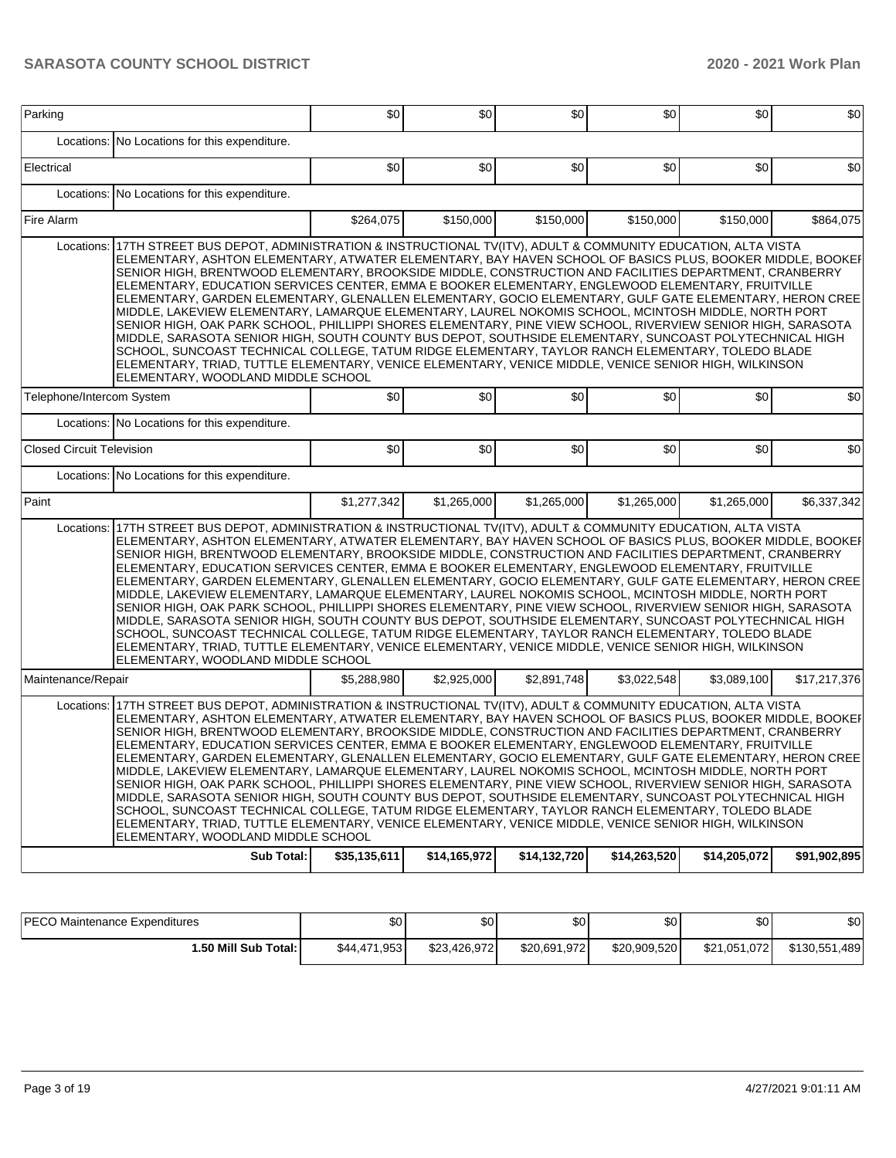| Parking                          |                                                                                                                                                                                                                                                                                                                                                                                                                                                                                                                                                                                                                                                                                                                                                                                                                                                                                                                                                                                                                                                                                                                                      | \$0          | \$0          | \$0          | \$0          | \$0          | \$0          |  |  |  |
|----------------------------------|--------------------------------------------------------------------------------------------------------------------------------------------------------------------------------------------------------------------------------------------------------------------------------------------------------------------------------------------------------------------------------------------------------------------------------------------------------------------------------------------------------------------------------------------------------------------------------------------------------------------------------------------------------------------------------------------------------------------------------------------------------------------------------------------------------------------------------------------------------------------------------------------------------------------------------------------------------------------------------------------------------------------------------------------------------------------------------------------------------------------------------------|--------------|--------------|--------------|--------------|--------------|--------------|--|--|--|
|                                  |                                                                                                                                                                                                                                                                                                                                                                                                                                                                                                                                                                                                                                                                                                                                                                                                                                                                                                                                                                                                                                                                                                                                      |              |              |              |              |              |              |  |  |  |
|                                  | Locations: No Locations for this expenditure.                                                                                                                                                                                                                                                                                                                                                                                                                                                                                                                                                                                                                                                                                                                                                                                                                                                                                                                                                                                                                                                                                        |              |              |              |              |              |              |  |  |  |
| Electrical                       |                                                                                                                                                                                                                                                                                                                                                                                                                                                                                                                                                                                                                                                                                                                                                                                                                                                                                                                                                                                                                                                                                                                                      | \$0          | \$0          | \$0          | \$0          | \$0          | \$0          |  |  |  |
|                                  | Locations: No Locations for this expenditure.                                                                                                                                                                                                                                                                                                                                                                                                                                                                                                                                                                                                                                                                                                                                                                                                                                                                                                                                                                                                                                                                                        |              |              |              |              |              |              |  |  |  |
| Fire Alarm                       |                                                                                                                                                                                                                                                                                                                                                                                                                                                                                                                                                                                                                                                                                                                                                                                                                                                                                                                                                                                                                                                                                                                                      | \$264,075    | \$150,000    | \$150,000    | \$150,000    | \$150,000    | \$864,075    |  |  |  |
| Locations:                       | 17TH STREET BUS DEPOT, ADMINISTRATION & INSTRUCTIONAL TV(ITV), ADULT & COMMUNITY EDUCATION, ALTA VISTA<br>ELEMENTARY, ASHTON ELEMENTARY, ATWATER ELEMENTARY, BAY HAVEN SCHOOL OF BASICS PLUS, BOOKER MIDDLE, BOOKEF<br>SENIOR HIGH, BRENTWOOD ELEMENTARY, BROOKSIDE MIDDLE, CONSTRUCTION AND FACILITIES DEPARTMENT, CRANBERRY<br>ELEMENTARY, EDUCATION SERVICES CENTER, EMMA E BOOKER ELEMENTARY, ENGLEWOOD ELEMENTARY, FRUITVILLE<br>ELEMENTARY, GARDEN ELEMENTARY, GLENALLEN ELEMENTARY, GOCIO ELEMENTARY, GULF GATE ELEMENTARY, HERON CREE<br>MIDDLE, LAKEVIEW ELEMENTARY, LAMARQUE ELEMENTARY, LAUREL NOKOMIS SCHOOL, MCINTOSH MIDDLE, NORTH PORT<br>SENIOR HIGH, OAK PARK SCHOOL, PHILLIPPI SHORES ELEMENTARY, PINE VIEW SCHOOL, RIVERVIEW SENIOR HIGH, SARASOTA<br>MIDDLE, SARASOTA SENIOR HIGH, SOUTH COUNTY BUS DEPOT, SOUTHSIDE ELEMENTARY, SUNCOAST POLYTECHNICAL HIGH<br>SCHOOL, SUNCOAST TECHNICAL COLLEGE, TATUM RIDGE ELEMENTARY, TAYLOR RANCH ELEMENTARY, TOLEDO BLADE<br>ELEMENTARY, TRIAD, TUTTLE ELEMENTARY, VENICE ELEMENTARY, VENICE MIDDLE, VENICE SENIOR HIGH, WILKINSON<br>ELEMENTARY, WOODLAND MIDDLE SCHOOL |              |              |              |              |              |              |  |  |  |
| Telephone/Intercom System        |                                                                                                                                                                                                                                                                                                                                                                                                                                                                                                                                                                                                                                                                                                                                                                                                                                                                                                                                                                                                                                                                                                                                      | \$0          | \$0          | \$0          | \$0          | \$0          | \$0          |  |  |  |
|                                  | Locations: No Locations for this expenditure.                                                                                                                                                                                                                                                                                                                                                                                                                                                                                                                                                                                                                                                                                                                                                                                                                                                                                                                                                                                                                                                                                        |              |              |              |              |              |              |  |  |  |
| <b>Closed Circuit Television</b> |                                                                                                                                                                                                                                                                                                                                                                                                                                                                                                                                                                                                                                                                                                                                                                                                                                                                                                                                                                                                                                                                                                                                      | \$0          | \$0          | \$0          | \$0          | \$0          | \$0          |  |  |  |
|                                  | Locations: No Locations for this expenditure.                                                                                                                                                                                                                                                                                                                                                                                                                                                                                                                                                                                                                                                                                                                                                                                                                                                                                                                                                                                                                                                                                        |              |              |              |              |              |              |  |  |  |
| Paint                            |                                                                                                                                                                                                                                                                                                                                                                                                                                                                                                                                                                                                                                                                                                                                                                                                                                                                                                                                                                                                                                                                                                                                      | \$1,277,342  | \$1,265,000  | \$1,265,000  | \$1,265,000  | \$1,265,000  | \$6,337,342  |  |  |  |
| Locations:                       | 17TH STREET BUS DEPOT, ADMINISTRATION & INSTRUCTIONAL TV(ITV), ADULT & COMMUNITY EDUCATION, ALTA VISTA<br>ELEMENTARY, ASHTON ELEMENTARY, ATWATER ELEMENTARY, BAY HAVEN SCHOOL OF BASICS PLUS, BOOKER MIDDLE, BOOKEF<br>SENIOR HIGH, BRENTWOOD ELEMENTARY, BROOKSIDE MIDDLE, CONSTRUCTION AND FACILITIES DEPARTMENT, CRANBERRY<br>ELEMENTARY, EDUCATION SERVICES CENTER, EMMA E BOOKER ELEMENTARY, ENGLEWOOD ELEMENTARY, FRUITVILLE<br>ELEMENTARY, GARDEN ELEMENTARY, GLENALLEN ELEMENTARY, GOCIO ELEMENTARY, GULF GATE ELEMENTARY, HERON CREE<br>MIDDLE, LAKEVIEW ELEMENTARY, LAMARQUE ELEMENTARY, LAUREL NOKOMIS SCHOOL, MCINTOSH MIDDLE, NORTH PORT<br>SENIOR HIGH, OAK PARK SCHOOL, PHILLIPPI SHORES ELEMENTARY, PINE VIEW SCHOOL, RIVERVIEW SENIOR HIGH, SARASOTA<br>MIDDLE, SARASOTA SENIOR HIGH, SOUTH COUNTY BUS DEPOT, SOUTHSIDE ELEMENTARY, SUNCOAST POLYTECHNICAL HIGH<br>SCHOOL, SUNCOAST TECHNICAL COLLEGE, TATUM RIDGE ELEMENTARY, TAYLOR RANCH ELEMENTARY, TOLEDO BLADE<br>ELEMENTARY, TRIAD, TUTTLE ELEMENTARY, VENICE ELEMENTARY, VENICE MIDDLE, VENICE SENIOR HIGH, WILKINSON<br>ELEMENTARY, WOODLAND MIDDLE SCHOOL |              |              |              |              |              |              |  |  |  |
| Maintenance/Repair               |                                                                                                                                                                                                                                                                                                                                                                                                                                                                                                                                                                                                                                                                                                                                                                                                                                                                                                                                                                                                                                                                                                                                      | \$5,288,980  | \$2,925,000  | \$2,891,748  | \$3,022,548  | \$3.089.100  | \$17,217,376 |  |  |  |
| Locations:                       | 17TH STREET BUS DEPOT, ADMINISTRATION & INSTRUCTIONAL TV(ITV), ADULT & COMMUNITY EDUCATION, ALTA VISTA<br>ELEMENTARY, ASHTON ELEMENTARY, ATWATER ELEMENTARY, BAY HAVEN SCHOOL OF BASICS PLUS, BOOKER MIDDLE, BOOKEF<br>SENIOR HIGH, BRENTWOOD ELEMENTARY, BROOKSIDE MIDDLE, CONSTRUCTION AND FACILITIES DEPARTMENT, CRANBERRY<br>ELEMENTARY, EDUCATION SERVICES CENTER, EMMA E BOOKER ELEMENTARY, ENGLEWOOD ELEMENTARY, FRUITVILLE<br>ELEMENTARY, GARDEN ELEMENTARY, GLENALLEN ELEMENTARY, GOCIO ELEMENTARY, GULF GATE ELEMENTARY, HERON CREE<br>MIDDLE, LAKEVIEW ELEMENTARY, LAMARQUE ELEMENTARY, LAUREL NOKOMIS SCHOOL, MCINTOSH MIDDLE, NORTH PORT<br>SENIOR HIGH, OAK PARK SCHOOL, PHILLIPPI SHORES ELEMENTARY, PINE VIEW SCHOOL, RIVERVIEW SENIOR HIGH, SARASOTA<br>MIDDLE, SARASOTA SENIOR HIGH, SOUTH COUNTY BUS DEPOT, SOUTHSIDE ELEMENTARY, SUNCOAST POLYTECHNICAL HIGH<br>SCHOOL, SUNCOAST TECHNICAL COLLEGE, TATUM RIDGE ELEMENTARY, TAYLOR RANCH ELEMENTARY, TOLEDO BLADE<br>ELEMENTARY, TRIAD, TUTTLE ELEMENTARY, VENICE ELEMENTARY, VENICE MIDDLE, VENICE SENIOR HIGH, WILKINSON<br>ELEMENTARY, WOODLAND MIDDLE SCHOOL |              |              |              |              |              |              |  |  |  |
|                                  | Sub Total:                                                                                                                                                                                                                                                                                                                                                                                                                                                                                                                                                                                                                                                                                                                                                                                                                                                                                                                                                                                                                                                                                                                           | \$35,135,611 | \$14,165,972 | \$14,132,720 | \$14,263,520 | \$14,205,072 | \$91,902,895 |  |  |  |

| <b>IPECO Maintenance Expenditures</b> | \$0          | ሶሳ<br>υU     | <b>SO</b>    | ΦΩ<br>w      | \$0 <sub>1</sub> | ـ ው<br>OU,    |
|---------------------------------------|--------------|--------------|--------------|--------------|------------------|---------------|
| 1.50 Mill Sub Total: I                | \$44,471,953 | \$23,426,972 | \$20,691,972 | \$20,909,520 | \$21,051,072     | \$130,551,489 |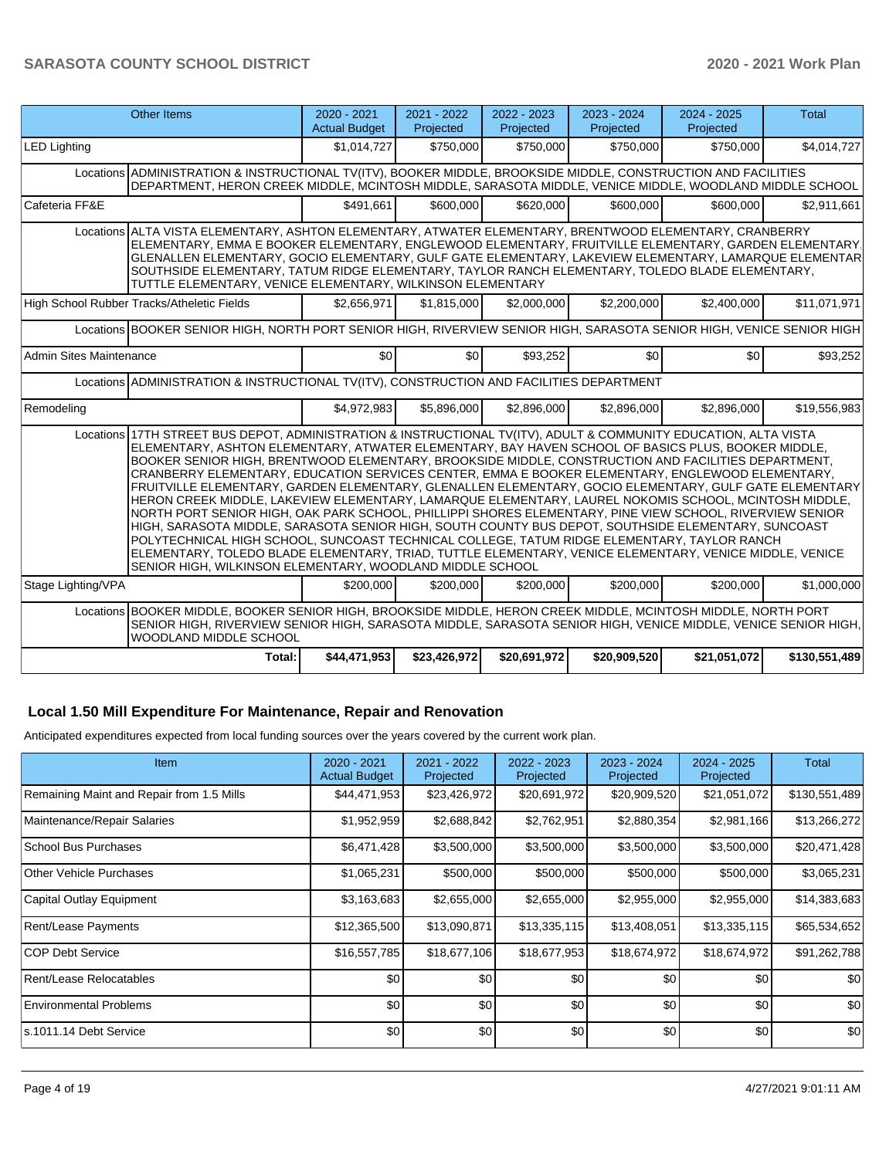|                                                                                                                                                                                                                                                                                                                                                                                                                                                                                                                                                                                                                                                                                                                                                                                                                                                                                                                                                                                                                                                                                                                                                | <b>Other Items</b>                                                                                                                                                                                                                                                                                                                                                                                                                                                                        | 2020 - 2021<br><b>Actual Budget</b> | 2021 - 2022<br>Projected | 2022 - 2023<br>Projected | 2023 - 2024<br>Projected | 2024 - 2025<br>Projected | <b>Total</b>  |  |  |
|------------------------------------------------------------------------------------------------------------------------------------------------------------------------------------------------------------------------------------------------------------------------------------------------------------------------------------------------------------------------------------------------------------------------------------------------------------------------------------------------------------------------------------------------------------------------------------------------------------------------------------------------------------------------------------------------------------------------------------------------------------------------------------------------------------------------------------------------------------------------------------------------------------------------------------------------------------------------------------------------------------------------------------------------------------------------------------------------------------------------------------------------|-------------------------------------------------------------------------------------------------------------------------------------------------------------------------------------------------------------------------------------------------------------------------------------------------------------------------------------------------------------------------------------------------------------------------------------------------------------------------------------------|-------------------------------------|--------------------------|--------------------------|--------------------------|--------------------------|---------------|--|--|
| <b>LED Lighting</b>                                                                                                                                                                                                                                                                                                                                                                                                                                                                                                                                                                                                                                                                                                                                                                                                                                                                                                                                                                                                                                                                                                                            |                                                                                                                                                                                                                                                                                                                                                                                                                                                                                           | \$1,014,727                         | \$750,000                | \$750,000                | \$750,000                | \$750,000                | \$4,014,727   |  |  |
|                                                                                                                                                                                                                                                                                                                                                                                                                                                                                                                                                                                                                                                                                                                                                                                                                                                                                                                                                                                                                                                                                                                                                | Locations ADMINISTRATION & INSTRUCTIONAL TV(ITV), BOOKER MIDDLE, BROOKSIDE MIDDLE, CONSTRUCTION AND FACILITIES<br>DEPARTMENT, HERON CREEK MIDDLE, MCINTOSH MIDDLE, SARASOTA MIDDLE, VENICE MIDDLE, WOODLAND MIDDLE SCHOOL                                                                                                                                                                                                                                                                 |                                     |                          |                          |                          |                          |               |  |  |
| Cafeteria FF&E                                                                                                                                                                                                                                                                                                                                                                                                                                                                                                                                                                                                                                                                                                                                                                                                                                                                                                                                                                                                                                                                                                                                 |                                                                                                                                                                                                                                                                                                                                                                                                                                                                                           | \$491.661                           | \$600,000                | \$620,000                | \$600,000                | \$600,000                | \$2,911,661   |  |  |
|                                                                                                                                                                                                                                                                                                                                                                                                                                                                                                                                                                                                                                                                                                                                                                                                                                                                                                                                                                                                                                                                                                                                                | Locations ALTA VISTA ELEMENTARY, ASHTON ELEMENTARY, ATWATER ELEMENTARY, BRENTWOOD ELEMENTARY, CRANBERRY<br>ELEMENTARY, EMMA E BOOKER ELEMENTARY, ENGLEWOOD ELEMENTARY, FRUITVILLE ELEMENTARY, GARDEN ELEMENTARY<br>GLENALLEN ELEMENTARY, GOCIO ELEMENTARY, GULF GATE ELEMENTARY, LAKEVIEW ELEMENTARY, LAMARQUE ELEMENTAR<br>SOUTHSIDE ELEMENTARY, TATUM RIDGE ELEMENTARY, TAYLOR RANCH ELEMENTARY, TOLEDO BLADE ELEMENTARY,<br>TUTTLE ELEMENTARY, VENICE ELEMENTARY, WILKINSON ELEMENTARY |                                     |                          |                          |                          |                          |               |  |  |
|                                                                                                                                                                                                                                                                                                                                                                                                                                                                                                                                                                                                                                                                                                                                                                                                                                                                                                                                                                                                                                                                                                                                                | High School Rubber Tracks/Atheletic Fields                                                                                                                                                                                                                                                                                                                                                                                                                                                | \$2,656,971                         | \$1.815.000              | \$2,000,000              | \$2,200,000              | \$2,400,000              | \$11,071,971  |  |  |
| Locations BOOKER SENIOR HIGH, NORTH PORT SENIOR HIGH, RIVERVIEW SENIOR HIGH, SARASOTA SENIOR HIGH, VENICE SENIOR HIGH                                                                                                                                                                                                                                                                                                                                                                                                                                                                                                                                                                                                                                                                                                                                                                                                                                                                                                                                                                                                                          |                                                                                                                                                                                                                                                                                                                                                                                                                                                                                           |                                     |                          |                          |                          |                          |               |  |  |
| <b>Admin Sites Maintenance</b>                                                                                                                                                                                                                                                                                                                                                                                                                                                                                                                                                                                                                                                                                                                                                                                                                                                                                                                                                                                                                                                                                                                 |                                                                                                                                                                                                                                                                                                                                                                                                                                                                                           | \$0                                 | \$0                      | \$93.252                 | \$0                      | \$0                      | \$93,252      |  |  |
| Locations ADMINISTRATION & INSTRUCTIONAL TV(ITV), CONSTRUCTION AND FACILITIES DEPARTMENT                                                                                                                                                                                                                                                                                                                                                                                                                                                                                                                                                                                                                                                                                                                                                                                                                                                                                                                                                                                                                                                       |                                                                                                                                                                                                                                                                                                                                                                                                                                                                                           |                                     |                          |                          |                          |                          |               |  |  |
| Remodeling                                                                                                                                                                                                                                                                                                                                                                                                                                                                                                                                                                                                                                                                                                                                                                                                                                                                                                                                                                                                                                                                                                                                     |                                                                                                                                                                                                                                                                                                                                                                                                                                                                                           | \$4,972,983                         | \$5,896,000              | \$2,896,000              | \$2,896,000              | \$2,896,000              | \$19,556,983  |  |  |
| Locations 17TH STREET BUS DEPOT, ADMINISTRATION & INSTRUCTIONAL TV(ITV), ADULT & COMMUNITY EDUCATION, ALTA VISTA<br>ELEMENTARY, ASHTON ELEMENTARY, ATWATER ELEMENTARY, BAY HAVEN SCHOOL OF BASICS PLUS, BOOKER MIDDLE,<br>BOOKER SENIOR HIGH, BRENTWOOD ELEMENTARY, BROOKSIDE MIDDLE, CONSTRUCTION AND FACILITIES DEPARTMENT,<br>CRANBERRY ELEMENTARY, EDUCATION SERVICES CENTER, EMMA E BOOKER ELEMENTARY, ENGLEWOOD ELEMENTARY,<br>FRUITVILLE ELEMENTARY, GARDEN ELEMENTARY, GLENALLEN ELEMENTARY, GOCIO ELEMENTARY, GULF GATE ELEMENTARY<br>HERON CREEK MIDDLE, LAKEVIEW ELEMENTARY, LAMARQUE ELEMENTARY, LAUREL NOKOMIS SCHOOL, MCINTOSH MIDDLE,<br>NORTH PORT SENIOR HIGH, OAK PARK SCHOOL, PHILLIPPI SHORES ELEMENTARY, PINE VIEW SCHOOL, RIVERVIEW SENIOR<br>HIGH, SARASOTA MIDDLE, SARASOTA SENIOR HIGH, SOUTH COUNTY BUS DEPOT, SOUTHSIDE ELEMENTARY, SUNCOAST<br>POLYTECHNICAL HIGH SCHOOL, SUNCOAST TECHNICAL COLLEGE, TATUM RIDGE ELEMENTARY, TAYLOR RANCH<br>ELEMENTARY, TOLEDO BLADE ELEMENTARY, TRIAD, TUTTLE ELEMENTARY, VENICE ELEMENTARY, VENICE MIDDLE, VENICE<br>SENIOR HIGH, WILKINSON ELEMENTARY, WOODLAND MIDDLE SCHOOL |                                                                                                                                                                                                                                                                                                                                                                                                                                                                                           |                                     |                          |                          |                          |                          |               |  |  |
| Stage Lighting/VPA                                                                                                                                                                                                                                                                                                                                                                                                                                                                                                                                                                                                                                                                                                                                                                                                                                                                                                                                                                                                                                                                                                                             |                                                                                                                                                                                                                                                                                                                                                                                                                                                                                           | \$200.000                           | \$200,000                | \$200.000                | \$200,000                | \$200,000                | \$1,000,000   |  |  |
|                                                                                                                                                                                                                                                                                                                                                                                                                                                                                                                                                                                                                                                                                                                                                                                                                                                                                                                                                                                                                                                                                                                                                | Locations BOOKER MIDDLE, BOOKER SENIOR HIGH, BROOKSIDE MIDDLE, HERON CREEK MIDDLE, MCINTOSH MIDDLE, NORTH PORT<br>SENIOR HIGH, RIVERVIEW SENIOR HIGH, SARASOTA MIDDLE, SARASOTA SENIOR HIGH, VENICE MIDDLE, VENICE SENIOR HIGH,<br>WOODLAND MIDDLE SCHOOL                                                                                                                                                                                                                                 |                                     |                          |                          |                          |                          |               |  |  |
|                                                                                                                                                                                                                                                                                                                                                                                                                                                                                                                                                                                                                                                                                                                                                                                                                                                                                                                                                                                                                                                                                                                                                | Total:                                                                                                                                                                                                                                                                                                                                                                                                                                                                                    | \$44,471,953                        | \$23,426,972             | \$20,691,972             | \$20,909,520             | \$21,051,072             | \$130,551,489 |  |  |

#### **Local 1.50 Mill Expenditure For Maintenance, Repair and Renovation**

Anticipated expenditures expected from local funding sources over the years covered by the current work plan.

| Item                                      | $2020 - 2021$<br><b>Actual Budget</b> | 2021 - 2022<br>Projected | 2022 - 2023<br>Projected | 2023 - 2024<br>Projected | $2024 - 2025$<br>Projected | Total         |
|-------------------------------------------|---------------------------------------|--------------------------|--------------------------|--------------------------|----------------------------|---------------|
| Remaining Maint and Repair from 1.5 Mills | \$44,471,953                          | \$23,426,972             | \$20,691,972             | \$20,909,520             | \$21,051,072               | \$130,551,489 |
| Maintenance/Repair Salaries               | \$1,952,959                           | \$2,688,842              | \$2,762,951              | \$2,880,354              | \$2,981,166                | \$13,266,272  |
| <b>School Bus Purchases</b>               | \$6,471,428                           | \$3,500,000              | \$3,500,000              | \$3,500,000              | \$3,500,000                | \$20,471,428  |
| Other Vehicle Purchases                   | \$1,065,231                           | \$500,000                | \$500,000                | \$500,000                | \$500,000                  | \$3,065,231   |
| Capital Outlay Equipment                  | \$3,163,683                           | \$2,655,000              | \$2,655,000              | \$2,955,000              | \$2,955,000                | \$14,383,683  |
| Rent/Lease Payments                       | \$12,365,500                          | \$13,090,871             | \$13,335,115             | \$13,408,051             | \$13,335,115               | \$65,534,652  |
| ICOP Debt Service                         | \$16,557,785                          | \$18,677,106             | \$18,677,953             | \$18,674,972             | \$18,674,972               | \$91,262,788  |
| Rent/Lease Relocatables                   | \$0                                   | \$0                      | \$0                      | \$0                      | \$0                        | \$0           |
| <b>Environmental Problems</b>             | \$0                                   | \$0                      | \$0                      | \$0                      | \$0                        | \$0           |
| ls.1011.14 Debt Service                   | \$0 <sub>1</sub>                      | \$0                      | \$0                      | \$0                      | \$0                        | \$0           |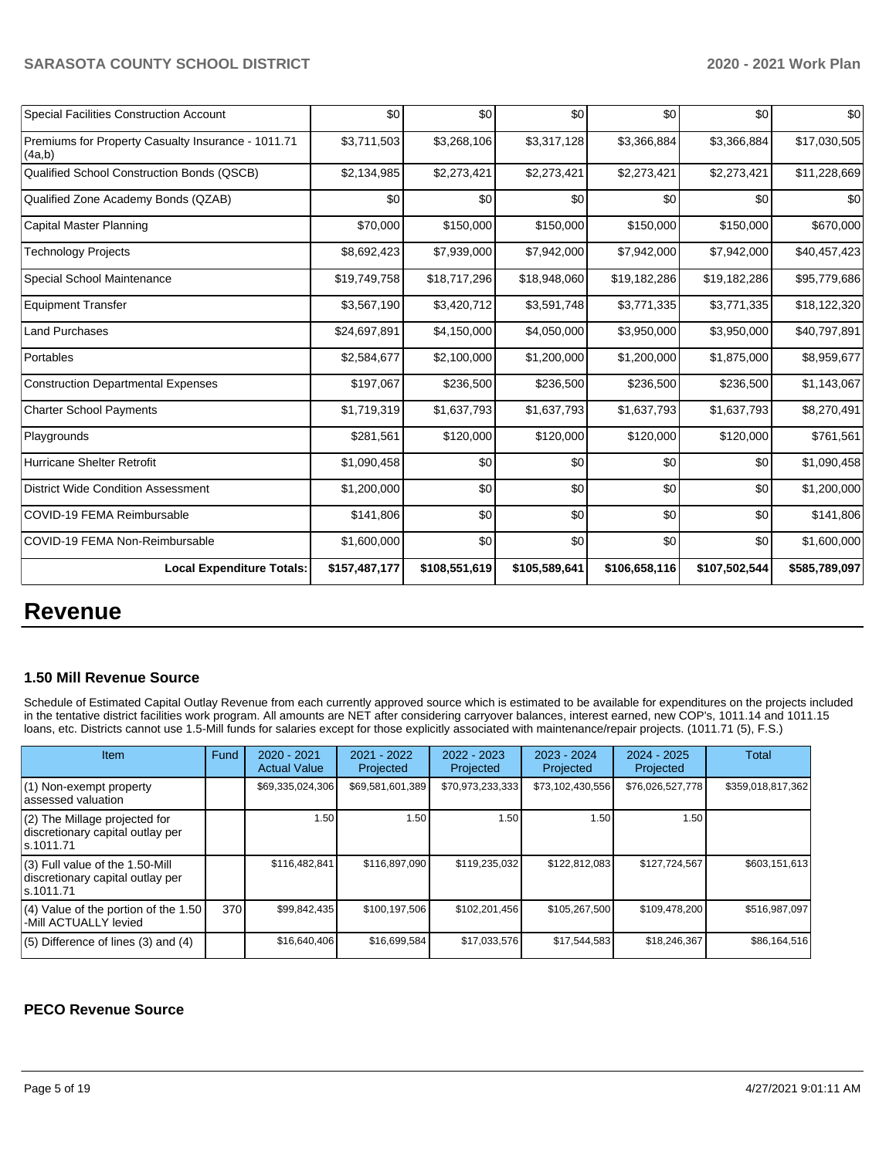| <b>Special Facilities Construction Account</b>               | \$0           | \$0           | \$0           | \$0           | \$0           | \$0           |
|--------------------------------------------------------------|---------------|---------------|---------------|---------------|---------------|---------------|
| Premiums for Property Casualty Insurance - 1011.71<br>(4a,b) | \$3,711,503   | \$3,268,106   | \$3,317,128   | \$3,366,884   | \$3,366,884   | \$17,030,505  |
| Qualified School Construction Bonds (QSCB)                   | \$2,134,985   | \$2,273,421   | \$2,273,421   | \$2,273,421   | \$2,273,421   | \$11,228,669  |
| Qualified Zone Academy Bonds (QZAB)                          | \$0           | \$0           | \$0           | \$0           | \$0           | \$0           |
| Capital Master Planning                                      | \$70,000      | \$150,000     | \$150,000     | \$150,000     | \$150,000     | \$670,000     |
| Technology Projects                                          | \$8,692,423   | \$7,939,000   | \$7,942,000   | \$7,942,000   | \$7,942,000   | \$40,457,423  |
| Special School Maintenance                                   | \$19,749,758  | \$18,717,296  | \$18,948,060  | \$19,182,286  | \$19,182,286  | \$95,779,686  |
| <b>Equipment Transfer</b>                                    | \$3,567,190   | \$3,420,712   | \$3,591,748   | \$3,771,335   | \$3,771,335   | \$18,122,320  |
| <b>Land Purchases</b>                                        | \$24,697,891  | \$4,150,000   | \$4,050,000   | \$3,950,000   | \$3,950,000   | \$40,797,891  |
| Portables                                                    | \$2,584,677   | \$2,100,000   | \$1,200,000   | \$1,200,000   | \$1,875,000   | \$8,959,677   |
| <b>Construction Departmental Expenses</b>                    | \$197,067     | \$236,500     | \$236,500     | \$236,500     | \$236,500     | \$1,143,067   |
| <b>Charter School Payments</b>                               | \$1,719,319   | \$1,637,793   | \$1,637,793   | \$1,637,793   | \$1,637,793   | \$8,270,491   |
| Playgrounds                                                  | \$281,561     | \$120,000     | \$120,000     | \$120,000     | \$120,000     | \$761,561     |
| Hurricane Shelter Retrofit                                   | \$1,090,458   | \$0           | \$0           | \$0           | \$0           | \$1,090,458   |
| <b>District Wide Condition Assessment</b>                    | \$1,200,000   | \$0           | \$0           | \$0           | \$0           | \$1,200,000   |
| COVID-19 FEMA Reimbursable                                   | \$141,806     | \$0           | \$0           | \$0           | \$0           | \$141,806     |
| COVID-19 FEMA Non-Reimbursable                               | \$1,600,000   | \$0           | \$0           | \$0           | \$0           | \$1,600,000   |
| <b>Local Expenditure Totals:</b>                             | \$157,487,177 | \$108,551,619 | \$105,589,641 | \$106,658,116 | \$107,502,544 | \$585,789,097 |

# **Revenue**

#### **1.50 Mill Revenue Source**

Schedule of Estimated Capital Outlay Revenue from each currently approved source which is estimated to be available for expenditures on the projects included in the tentative district facilities work program. All amounts are NET after considering carryover balances, interest earned, new COP's, 1011.14 and 1011.15 loans, etc. Districts cannot use 1.5-Mill funds for salaries except for those explicitly associated with maintenance/repair projects. (1011.71 (5), F.S.)

| <b>Item</b>                                                                         | Fund | $2020 - 2021$<br><b>Actual Value</b> | $2021 - 2022$<br>Projected | 2022 - 2023<br>Projected | $2023 - 2024$<br>Projected | $2024 - 2025$<br>Projected | Total             |
|-------------------------------------------------------------------------------------|------|--------------------------------------|----------------------------|--------------------------|----------------------------|----------------------------|-------------------|
| (1) Non-exempt property<br>lassessed valuation                                      |      | \$69,335,024,306                     | \$69,581,601,389           | \$70,973,233,333         | \$73,102,430,556           | \$76,026,527,778           | \$359,018,817,362 |
| $(2)$ The Millage projected for<br>discretionary capital outlay per<br>ls.1011.71   |      | 1.50                                 | 1.50                       | 1.50                     | 1.50                       | 1.50                       |                   |
| $(3)$ Full value of the 1.50-Mill<br>discretionary capital outlay per<br>ls.1011.71 |      | \$116,482,841                        | \$116.897.090              | \$119,235,032            | \$122,812,083              | \$127,724,567              | \$603,151,613     |
| $(4)$ Value of the portion of the 1.50<br>-Mill ACTUALLY levied                     | 370  | \$99,842,435                         | \$100,197,506              | \$102,201,456            | \$105,267,500              | \$109,478,200              | \$516,987,097     |
| $(5)$ Difference of lines $(3)$ and $(4)$                                           |      | \$16,640,406                         | \$16,699,584               | \$17,033,576             | \$17,544,583               | \$18,246,367               | \$86,164,516      |

### **PECO Revenue Source**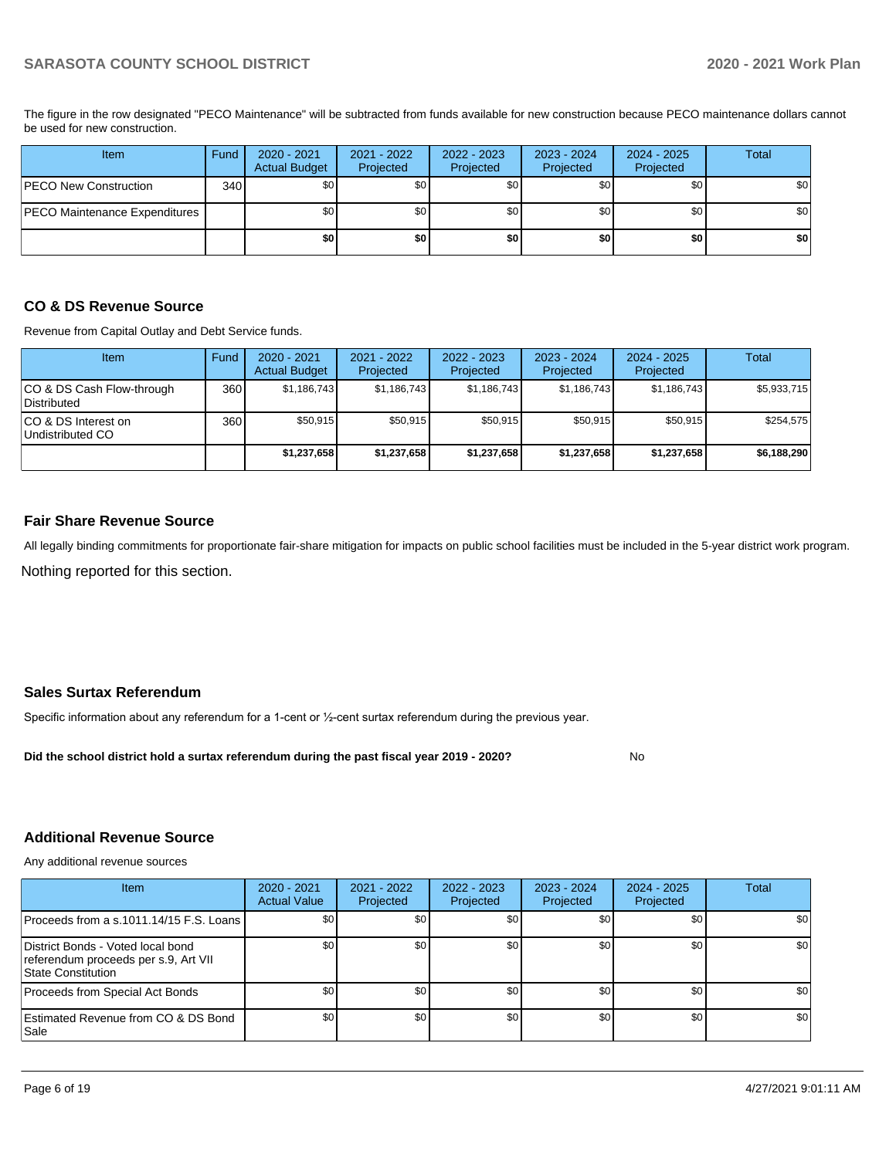The figure in the row designated "PECO Maintenance" will be subtracted from funds available for new construction because PECO maintenance dollars cannot be used for new construction.

| Item                          | Fund | 2020 - 2021<br><b>Actual Budget</b> | 2021 - 2022<br>Projected | 2022 - 2023<br>Projected | $2023 - 2024$<br>Projected | $2024 - 2025$<br>Projected | Total |
|-------------------------------|------|-------------------------------------|--------------------------|--------------------------|----------------------------|----------------------------|-------|
| <b>PECO New Construction</b>  | 340  | \$0                                 | \$0                      | \$0                      | \$0 <sub>1</sub>           | \$0                        | \$0   |
| PECO Maintenance Expenditures |      | \$0                                 | \$0                      | \$0                      | \$0 <sub>1</sub>           | \$0                        | \$0   |
|                               |      | \$0                                 | \$0                      | \$0                      | \$0                        | \$0                        | \$0   |

#### **CO & DS Revenue Source**

Revenue from Capital Outlay and Debt Service funds.

| <b>Item</b>                               | Fund | $2020 - 2021$<br><b>Actual Budget</b> | 2021 - 2022<br>Projected | 2022 - 2023<br>Projected | $2023 - 2024$<br>Projected | $2024 - 2025$<br>Projected | Total       |
|-------------------------------------------|------|---------------------------------------|--------------------------|--------------------------|----------------------------|----------------------------|-------------|
| ICO & DS Cash Flow-through<br>Distributed | 360  | \$1,186,743                           | \$1,186,743              | \$1,186,743              | \$1,186,743                | \$1,186,743                | \$5,933,715 |
| ICO & DS Interest on<br>Undistributed CO  | 360  | \$50.915                              | \$50,915                 | \$50,915                 | \$50,915                   | \$50,915                   | \$254,575   |
|                                           |      | \$1,237,658                           | \$1,237,658              | \$1,237,658              | \$1,237,658                | \$1,237,658                | \$6,188,290 |

#### **Fair Share Revenue Source**

Nothing reported for this section. All legally binding commitments for proportionate fair-share mitigation for impacts on public school facilities must be included in the 5-year district work program.

#### **Sales Surtax Referendum**

Specific information about any referendum for a 1-cent or ½-cent surtax referendum during the previous year.

**Did the school district hold a surtax referendum during the past fiscal year 2019 - 2020?**

No

#### **Additional Revenue Source**

Any additional revenue sources

| Item                                                                                            | 2020 - 2021<br><b>Actual Value</b> | 2021 - 2022<br>Projected | $2022 - 2023$<br>Projected | 2023 - 2024<br>Projected | 2024 - 2025<br>Projected | <b>Total</b> |
|-------------------------------------------------------------------------------------------------|------------------------------------|--------------------------|----------------------------|--------------------------|--------------------------|--------------|
| Proceeds from a s.1011.14/15 F.S. Loans I                                                       | \$0                                | \$0                      | \$0                        | \$0                      | \$0                      | \$0          |
| District Bonds - Voted local bond<br>referendum proceeds per s.9, Art VII<br>State Constitution | \$0                                | \$0                      | \$0                        | \$0                      | \$0                      | \$0          |
| Proceeds from Special Act Bonds                                                                 | \$0                                | \$0                      | \$0                        | \$0 <sub>1</sub>         | \$0                      | \$0          |
| Estimated Revenue from CO & DS Bond<br> Sale                                                    | \$0                                | \$0                      | \$0                        | \$0                      | \$0                      | \$0          |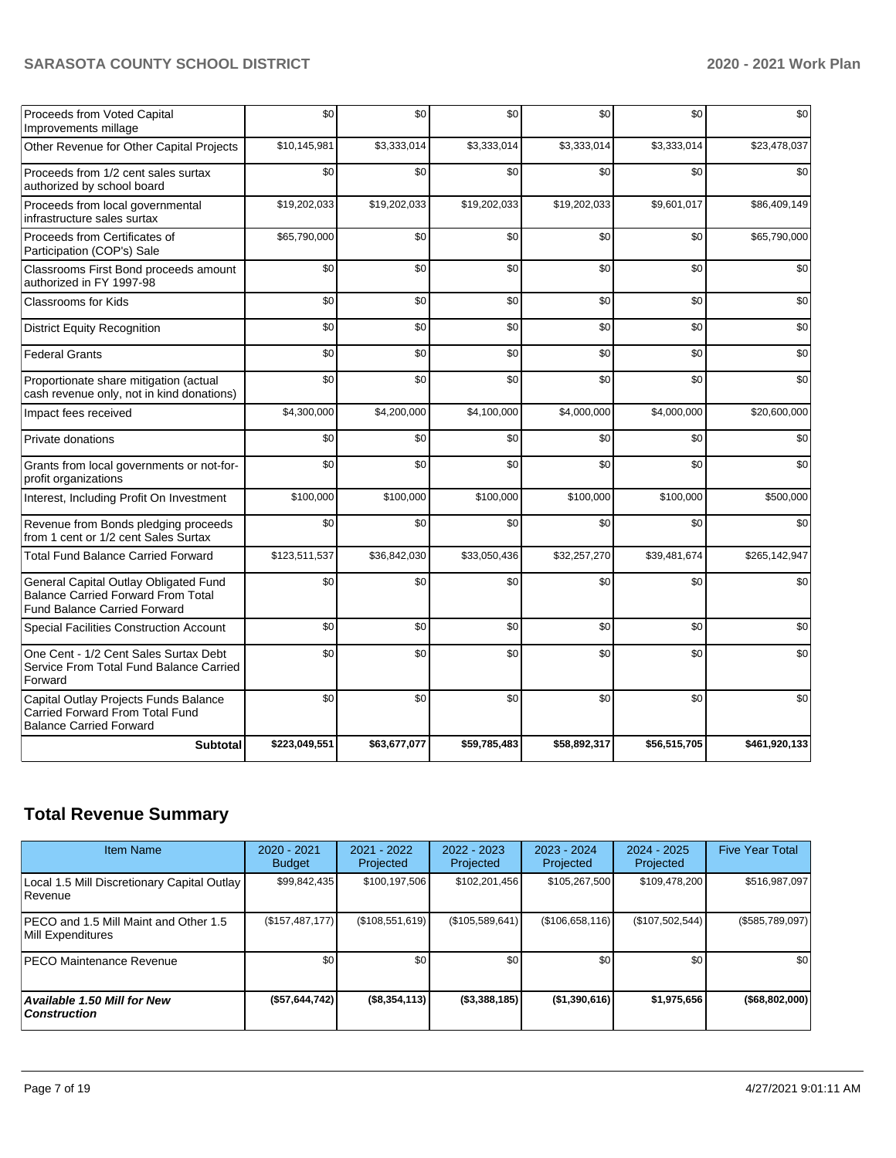| <b>Subtotal</b>                                                                                                           | \$223,049,551 | \$63,677,077 | \$59,785,483 | \$58,892,317 | \$56,515,705 | \$461,920,133 |
|---------------------------------------------------------------------------------------------------------------------------|---------------|--------------|--------------|--------------|--------------|---------------|
| Capital Outlay Projects Funds Balance<br>Carried Forward From Total Fund<br><b>Balance Carried Forward</b>                | \$0           | \$0          | \$0          | \$0          | \$0          | \$0           |
| One Cent - 1/2 Cent Sales Surtax Debt<br>Service From Total Fund Balance Carried<br>Forward                               | \$0           | \$0          | \$0          | \$0          | \$0          | \$0           |
| <b>Special Facilities Construction Account</b>                                                                            | \$0           | \$0          | \$0          | \$0          | \$0          | \$0           |
| General Capital Outlay Obligated Fund<br><b>Balance Carried Forward From Total</b><br><b>Fund Balance Carried Forward</b> | \$0           | \$0          | \$0          | \$0          | \$0          | \$0           |
| <b>Total Fund Balance Carried Forward</b>                                                                                 | \$123,511,537 | \$36,842,030 | \$33,050,436 | \$32,257,270 | \$39,481,674 | \$265,142,947 |
| Revenue from Bonds pledging proceeds<br>from 1 cent or 1/2 cent Sales Surtax                                              | \$0           | \$0          | \$0          | \$0          | \$0          | \$0           |
| Interest, Including Profit On Investment                                                                                  | \$100,000     | \$100,000    | \$100.000    | \$100,000    | \$100,000    | \$500,000     |
| Grants from local governments or not-for-<br>profit organizations                                                         | \$0           | \$0          | \$0          | \$0          | \$0          | \$0           |
| Private donations                                                                                                         | \$0           | \$0          | \$0          | \$0          | \$0          | \$0           |
| Impact fees received                                                                                                      | \$4,300,000   | \$4,200,000  | \$4,100,000  | \$4,000,000  | \$4,000,000  | \$20,600,000  |
| Proportionate share mitigation (actual<br>cash revenue only, not in kind donations)                                       | \$0           | \$0          | \$0          | \$0          | \$0          | \$0           |
| <b>Federal Grants</b>                                                                                                     | \$0           | \$0          | \$0          | \$0          | \$0          | \$0           |
| <b>District Equity Recognition</b>                                                                                        | \$0           | \$0          | \$0          | \$0          | \$0          | \$0           |
| <b>Classrooms for Kids</b>                                                                                                | \$0           | \$0          | \$0          | \$0          | \$0          | \$0           |
| Classrooms First Bond proceeds amount<br>authorized in FY 1997-98                                                         | \$0           | \$0          | \$0          | \$0          | \$0          | \$0           |
| Proceeds from Certificates of<br>Participation (COP's) Sale                                                               | \$65,790,000  | \$0          | \$0          | \$0          | \$0          | \$65,790,000  |
| Proceeds from local governmental<br>infrastructure sales surtax                                                           | \$19,202,033  | \$19,202,033 | \$19,202,033 | \$19,202,033 | \$9,601,017  | \$86,409,149  |
| Proceeds from 1/2 cent sales surtax<br>authorized by school board                                                         | \$0           | \$0          | \$0          | \$0          | \$0          | \$0           |
| Other Revenue for Other Capital Projects                                                                                  | \$10,145,981  | \$3,333,014  | \$3,333,014  | \$3,333,014  | \$3,333,014  | \$23,478,037  |
| Proceeds from Voted Capital<br>Improvements millage                                                                       | \$0           | \$0          | \$0          | \$0          | \$0          | \$0           |

# **Total Revenue Summary**

| <b>Item Name</b>                                              | 2020 - 2021<br><b>Budget</b> | $2021 - 2022$<br>Projected | 2022 - 2023<br>Projected | $2023 - 2024$<br>Projected | $2024 - 2025$<br>Projected | <b>Five Year Total</b> |
|---------------------------------------------------------------|------------------------------|----------------------------|--------------------------|----------------------------|----------------------------|------------------------|
| Local 1.5 Mill Discretionary Capital Outlay<br><b>Revenue</b> | \$99,842,435                 | \$100.197.506              | \$102,201,456            | \$105,267,500              | \$109,478,200              | \$516,987,097          |
| PECO and 1.5 Mill Maint and Other 1.5<br>Mill Expenditures    | (\$157,487,177)              | (\$108,551,619)            | (\$105,589,641)          | (\$106,658,116)            | (\$107,502,544)            | (\$585,789,097)        |
| <b>PECO Maintenance Revenue</b>                               | \$0                          | \$0 <sub>1</sub>           | \$0                      | \$0                        | \$0                        | \$0                    |
| <b>Available 1.50 Mill for New</b><br>  Construction          | (\$57,644,742)               | (\$8,354,113)              | (\$3,388,185)            | (\$1,390,616)              | \$1.975.656                | ( \$68, 802, 000]      |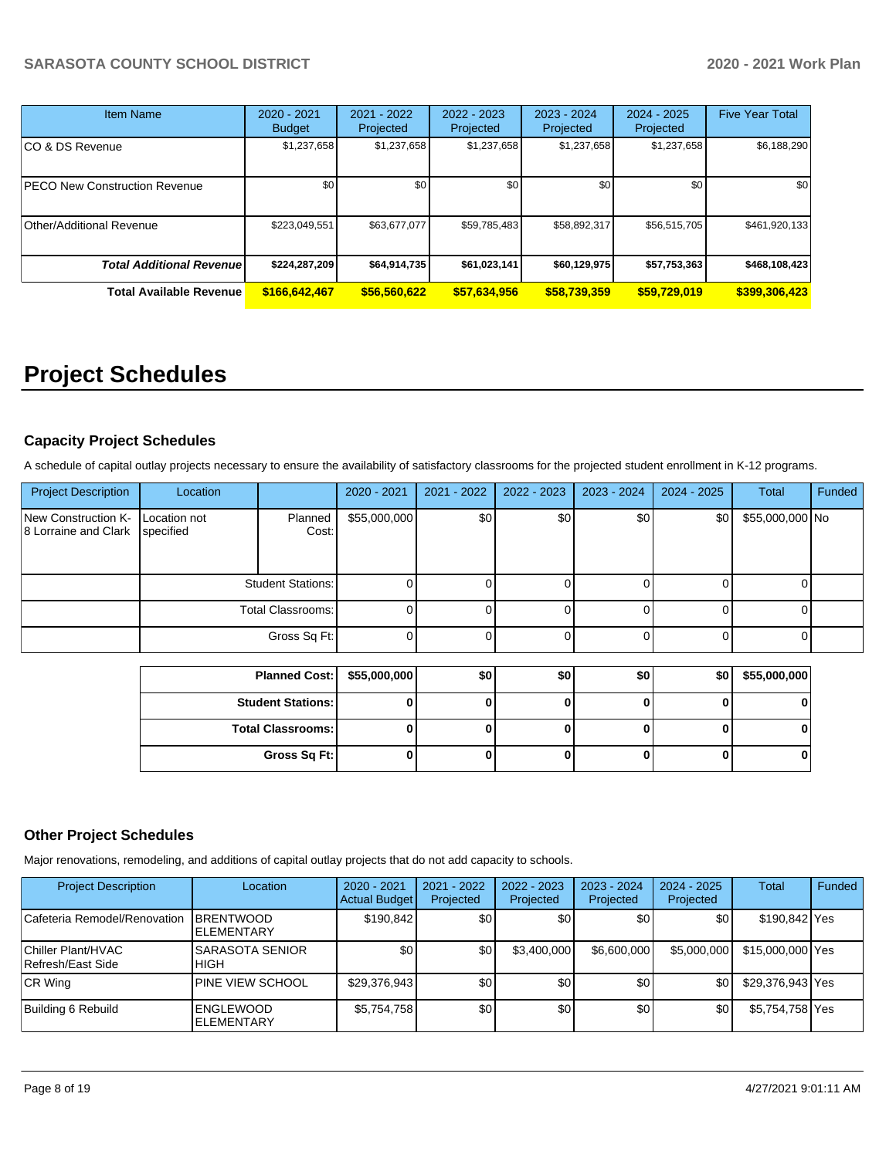| <b>Item Name</b>                 | $2020 - 2021$<br><b>Budget</b> | $2021 - 2022$<br>Projected | 2022 - 2023<br>Projected | 2023 - 2024<br>Projected | $2024 - 2025$<br>Projected | <b>Five Year Total</b> |
|----------------------------------|--------------------------------|----------------------------|--------------------------|--------------------------|----------------------------|------------------------|
| CO & DS Revenue                  | \$1,237,658                    | \$1,237,658                | \$1,237,658              | \$1,237,658              | \$1,237,658                | \$6,188,290            |
| PECO New Construction Revenue    | \$0                            | \$0                        | \$0                      | \$0                      | \$0                        | \$0                    |
| Other/Additional Revenue         | \$223,049,551                  | \$63,677,077               | \$59,785,483             | \$58,892,317             | \$56,515,705               | \$461,920,133          |
| <b>Total Additional Revenuel</b> | \$224,287,209                  | \$64,914,735               | \$61,023,141             | \$60,129,975             | \$57,753,363               | \$468,108,423          |
| <b>Total Available Revenue</b>   | \$166,642,467                  | \$56,560,622               | \$57,634,956             | \$58,739,359             | \$59,729,019               | \$399,306,423          |

# **Project Schedules**

## **Capacity Project Schedules**

A schedule of capital outlay projects necessary to ensure the availability of satisfactory classrooms for the projected student enrollment in K-12 programs.

| <b>Project Description</b>                  | Location                  |                          | 2020 - 2021  | 2021 - 2022 | 2022 - 2023 | 2023 - 2024 | $2024 - 2025$    | <b>Total</b>    | Funded |
|---------------------------------------------|---------------------------|--------------------------|--------------|-------------|-------------|-------------|------------------|-----------------|--------|
| New Construction K-<br>8 Lorraine and Clark | Location not<br>specified | Planned<br>Cost:         | \$55,000,000 | \$0         | \$0         | \$0         | \$0 <sub>1</sub> | \$55,000,000 No |        |
|                                             |                           | <b>Student Stations:</b> | $\Omega$     |             |             |             |                  |                 |        |
|                                             |                           | <b>Total Classrooms:</b> | $\Omega$     |             |             |             |                  |                 |        |
|                                             |                           | Gross Sq Ft:             | $\Omega$     |             |             |             |                  |                 |        |
|                                             |                           |                          |              |             |             |             |                  |                 |        |
|                                             | <b>Planned Cost:</b>      |                          | \$55,000,000 | \$0         | \$0         | \$0         | \$0              | \$55,000,000    |        |
|                                             | <b>Student Stations:</b>  |                          | 0            |             | 0           |             | 0                |                 |        |
|                                             |                           | <b>Total Classrooms:</b> | $\bf{0}$     |             |             |             | 0                | 0               |        |

**Gross Sq Ft: 0 0 0 0 0 0**

## **Other Project Schedules**

Major renovations, remodeling, and additions of capital outlay projects that do not add capacity to schools.

| <b>Project Description</b>              | Location                               | 2020 - 2021<br><b>Actual Budget</b> | 2021 - 2022<br>Projected | $2022 - 2023$<br>Projected | 2023 - 2024<br>Projected | $2024 - 2025$<br>Projected | Total            | Funded |
|-----------------------------------------|----------------------------------------|-------------------------------------|--------------------------|----------------------------|--------------------------|----------------------------|------------------|--------|
| Cafeteria Remodel/Renovation            | <b>IBRENTWOOD</b><br><b>ELEMENTARY</b> | \$190.842                           | <b>SO</b>                | \$0                        | \$0                      | \$٥١                       | \$190,842 Yes    |        |
| Chiller Plant/HVAC<br>Refresh/East Side | <b>SARASOTA SENIOR</b><br><b>HIGH</b>  | \$0                                 | \$0                      | \$3,400,000                | \$6,600,000              | \$5,000,000                | \$15,000,000 Yes |        |
| CR Wing                                 | <b>PINE VIEW SCHOOL</b>                | \$29,376,943                        | \$0                      | \$0                        | \$0                      | ا80                        | \$29,376,943 Yes |        |
| Building 6 Rebuild                      | <b>ENGLEWOOD</b><br><b>ELEMENTARY</b>  | \$5,754,758                         | \$0                      | \$0                        | \$0                      | \$0                        | \$5,754,758 Yes  |        |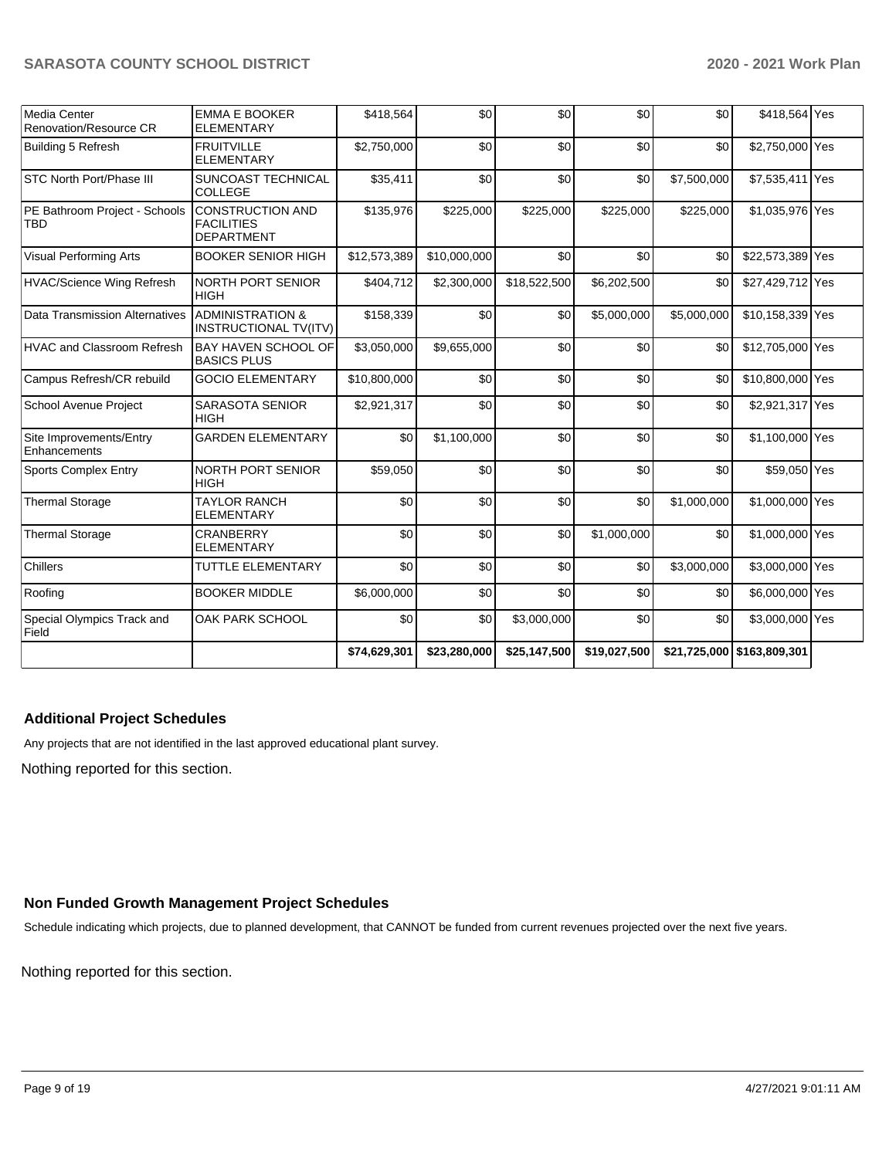| <b>Media Center</b><br>Renovation/Resource CR | <b>EMMA E BOOKER</b><br><b>ELEMENTARY</b>                         | \$418,564    | \$0          | \$0          | \$0          | \$0         | \$418,564 Yes              |  |
|-----------------------------------------------|-------------------------------------------------------------------|--------------|--------------|--------------|--------------|-------------|----------------------------|--|
| Building 5 Refresh                            | <b>FRUITVILLE</b><br><b>ELEMENTARY</b>                            | \$2,750,000  | \$0          | \$0          | \$0          | \$0         | \$2,750,000 Yes            |  |
| STC North Port/Phase III                      | SUNCOAST TECHNICAL<br><b>COLLEGE</b>                              | \$35,411     | \$0          | \$0          | \$0          | \$7,500,000 | \$7,535,411 Yes            |  |
| PE Bathroom Project - Schools<br>TBD          | <b>CONSTRUCTION AND</b><br><b>FACILITIES</b><br><b>DEPARTMENT</b> | \$135,976    | \$225,000    | \$225,000    | \$225,000    | \$225,000   | \$1,035,976 Yes            |  |
| Visual Performing Arts                        | <b>BOOKER SENIOR HIGH</b>                                         | \$12,573,389 | \$10,000,000 | \$0          | \$0          | \$0         | \$22,573,389 Yes           |  |
| <b>HVAC/Science Wing Refresh</b>              | NORTH PORT SENIOR<br><b>HIGH</b>                                  | \$404,712    | \$2,300,000  | \$18,522,500 | \$6,202,500  | \$0         | \$27,429,712 Yes           |  |
| Data Transmission Alternatives                | <b>ADMINISTRATION &amp;</b><br><b>INSTRUCTIONAL TV(ITV)</b>       | \$158,339    | \$0          | \$0          | \$5,000,000  | \$5,000,000 | \$10,158,339 Yes           |  |
| <b>HVAC and Classroom Refresh</b>             | <b>BAY HAVEN SCHOOL OF</b><br><b>BASICS PLUS</b>                  | \$3,050,000  | \$9,655,000  | \$0          | \$0          | \$0         | \$12,705,000 Yes           |  |
| Campus Refresh/CR rebuild                     | <b>GOCIO ELEMENTARY</b>                                           | \$10,800,000 | \$0          | \$0          | \$0          | \$0         | \$10,800,000 Yes           |  |
| School Avenue Project                         | <b>SARASOTA SENIOR</b><br><b>HIGH</b>                             | \$2,921,317  | \$0          | \$0          | \$0          | \$0         | \$2,921,317 Yes            |  |
| Site Improvements/Entry<br>Enhancements       | <b>GARDEN ELEMENTARY</b>                                          | \$0          | \$1,100,000  | \$0          | \$0          | \$0         | \$1,100,000 Yes            |  |
| <b>Sports Complex Entry</b>                   | NORTH PORT SENIOR<br><b>HIGH</b>                                  | \$59,050     | \$0          | \$0          | \$0          | \$0         | \$59,050 Yes               |  |
| <b>Thermal Storage</b>                        | <b>TAYLOR RANCH</b><br><b>ELEMENTARY</b>                          | \$0          | \$0          | \$0          | \$0          | \$1,000,000 | \$1,000,000 Yes            |  |
| <b>Thermal Storage</b>                        | <b>CRANBERRY</b><br><b>ELEMENTARY</b>                             | \$0          | \$0          | \$0          | \$1,000,000  | \$0         | \$1,000,000 Yes            |  |
| <b>Chillers</b>                               | <b>TUTTLE ELEMENTARY</b>                                          | \$0          | \$0          | \$0          | \$0          | \$3,000,000 | \$3,000,000 Yes            |  |
| Roofing                                       | <b>BOOKER MIDDLE</b>                                              | \$6,000,000  | \$0          | \$0          | \$0          | \$0         | \$6,000,000 Yes            |  |
| Special Olympics Track and<br>Field           | OAK PARK SCHOOL                                                   | \$0          | \$0          | \$3,000,000  | \$0          | \$0         | \$3,000,000 Yes            |  |
|                                               |                                                                   | \$74,629,301 | \$23,280,000 | \$25,147,500 | \$19,027,500 |             | \$21,725,000 \$163,809,301 |  |

## **Additional Project Schedules**

Any projects that are not identified in the last approved educational plant survey.

Nothing reported for this section.

## **Non Funded Growth Management Project Schedules**

Schedule indicating which projects, due to planned development, that CANNOT be funded from current revenues projected over the next five years.

Nothing reported for this section.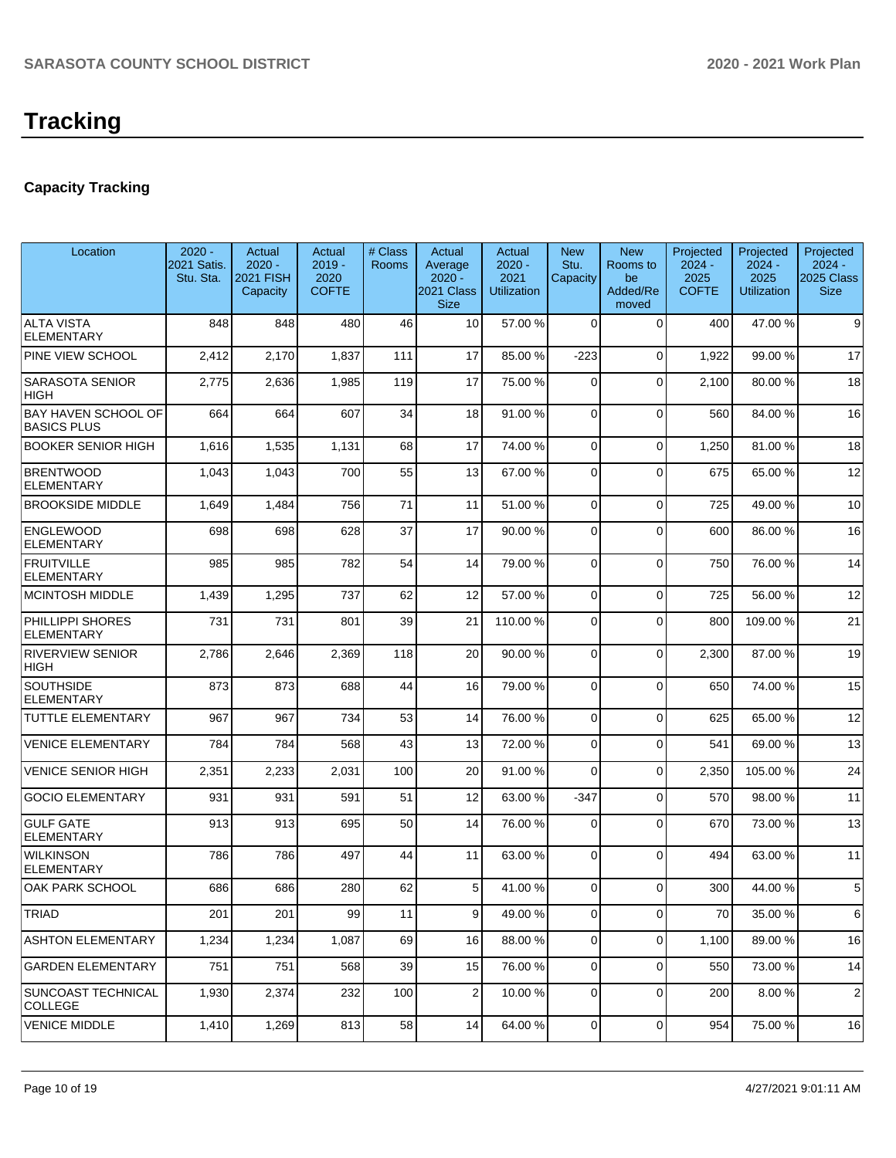# **Capacity Tracking**

| Location                                         | $2020 -$<br>2021 Satis.<br>Stu. Sta. | Actual<br>$2020 -$<br><b>2021 FISH</b><br>Capacity | Actual<br>$2019 -$<br>2020<br><b>COFTE</b> | # Class<br>Rooms | Actual<br>Average<br>$2020 -$<br>2021 Class<br><b>Size</b> | Actual<br>$2020 -$<br>2021<br><b>Utilization</b> | <b>New</b><br>Stu.<br>Capacity | <b>New</b><br>Rooms to<br>be<br>Added/Re<br>moved | Projected<br>$2024 -$<br>2025<br><b>COFTE</b> | Projected<br>$2024 -$<br>2025<br><b>Utilization</b> | Projected<br>$2024 -$<br>2025 Class<br><b>Size</b> |
|--------------------------------------------------|--------------------------------------|----------------------------------------------------|--------------------------------------------|------------------|------------------------------------------------------------|--------------------------------------------------|--------------------------------|---------------------------------------------------|-----------------------------------------------|-----------------------------------------------------|----------------------------------------------------|
| <b>ALTA VISTA</b><br><b>ELEMENTARY</b>           | 848                                  | 848                                                | 480                                        | 46               | 10                                                         | 57.00 %                                          | $\Omega$                       | $\Omega$                                          | 400                                           | 47.00 %                                             | 9                                                  |
| PINE VIEW SCHOOL                                 | 2,412                                | 2,170                                              | 1,837                                      | 111              | 17                                                         | 85.00 %                                          | $-223$                         | $\Omega$                                          | 1,922                                         | 99.00 %                                             | 17                                                 |
| <b>SARASOTA SENIOR</b><br>HIGH                   | 2,775                                | 2,636                                              | 1,985                                      | 119              | 17                                                         | 75.00 %                                          | $\Omega$                       | $\Omega$                                          | 2,100                                         | 80.00%                                              | 18                                                 |
| <b>BAY HAVEN SCHOOL OF</b><br><b>BASICS PLUS</b> | 664                                  | 664                                                | 607                                        | 34               | 18                                                         | 91.00%                                           | $\Omega$                       | $\Omega$                                          | 560                                           | 84.00 %                                             | 16                                                 |
| <b>BOOKER SENIOR HIGH</b>                        | 1,616                                | 1,535                                              | 1,131                                      | 68               | 17                                                         | 74.00 %                                          | $\Omega$                       | $\Omega$                                          | 1,250                                         | 81.00%                                              | 18                                                 |
| <b>BRENTWOOD</b><br><b>ELEMENTARY</b>            | 1,043                                | 1,043                                              | 700                                        | 55               | 13                                                         | 67.00 %                                          | $\Omega$                       | $\Omega$                                          | 675                                           | 65.00 %                                             | 12                                                 |
| <b>BROOKSIDE MIDDLE</b>                          | 1,649                                | 1,484                                              | 756                                        | 71               | 11                                                         | 51.00 %                                          | 0                              | $\Omega$                                          | 725                                           | 49.00 %                                             | 10                                                 |
| <b>ENGLEWOOD</b><br><b>ELEMENTARY</b>            | 698                                  | 698                                                | 628                                        | 37               | 17                                                         | 90.00 %                                          | $\Omega$                       | $\Omega$                                          | 600                                           | 86.00 %                                             | 16                                                 |
| <b>FRUITVILLE</b><br><b>ELEMENTARY</b>           | 985                                  | 985                                                | 782                                        | 54               | 14                                                         | 79.00 %                                          | $\Omega$                       | $\Omega$                                          | 750                                           | 76.00 %                                             | 14                                                 |
| <b>MCINTOSH MIDDLE</b>                           | 1,439                                | 1,295                                              | 737                                        | 62               | 12                                                         | 57.00 %                                          | $\Omega$                       | $\Omega$                                          | 725                                           | 56.00 %                                             | 12                                                 |
| PHILLIPPI SHORES<br><b>ELEMENTARY</b>            | 731                                  | 731                                                | 801                                        | 39               | 21                                                         | 110.00%                                          | $\Omega$                       | $\Omega$                                          | 800                                           | 109.00%                                             | 21                                                 |
| <b>RIVERVIEW SENIOR</b><br><b>HIGH</b>           | 2,786                                | 2,646                                              | 2,369                                      | 118              | 20                                                         | 90.00%                                           | $\Omega$                       | $\Omega$                                          | 2,300                                         | 87.00 %                                             | 19                                                 |
| <b>SOUTHSIDE</b><br><b>ELEMENTARY</b>            | 873                                  | 873                                                | 688                                        | 44               | 16                                                         | 79.00 %                                          | $\Omega$                       | $\Omega$                                          | 650                                           | 74.00 %                                             | 15                                                 |
| <b>TUTTLE ELEMENTARY</b>                         | 967                                  | 967                                                | 734                                        | 53               | 14                                                         | 76.00 %                                          | $\Omega$                       | $\Omega$                                          | 625                                           | 65.00 %                                             | 12                                                 |
| <b>VENICE ELEMENTARY</b>                         | 784                                  | 784                                                | 568                                        | 43               | 13                                                         | 72.00 %                                          | $\Omega$                       | $\Omega$                                          | 541                                           | 69.00 %                                             | 13                                                 |
| <b>VENICE SENIOR HIGH</b>                        | 2,351                                | 2,233                                              | 2,031                                      | 100              | 20                                                         | 91.00%                                           | $\Omega$                       | $\Omega$                                          | 2,350                                         | 105.00 %                                            | 24                                                 |
| <b>GOCIO ELEMENTARY</b>                          | 931                                  | 931                                                | 591                                        | 51               | 12                                                         | 63.00 %                                          | $-347$                         | $\Omega$                                          | 570                                           | 98.00 %                                             | 11                                                 |
| <b>GULF GATE</b><br><b>ELEMENTARY</b>            | 913                                  | 913                                                | 695                                        | 50               | 14                                                         | 76.00 %                                          | $\Omega$                       | $\Omega$                                          | 670                                           | 73.00 %                                             | 13                                                 |
| <b>WILKINSON</b><br><b>ELEMENTARY</b>            | 786                                  | 786                                                | 497                                        | 44               | 11                                                         | 63.00 %                                          | $\Omega$                       | $\Omega$                                          | 494                                           | 63.00 %                                             | 11                                                 |
| <b>OAK PARK SCHOOL</b>                           | 686                                  | 686                                                | 280                                        | 62               | 5                                                          | 41.00 %                                          | $\mathbf 0$                    | $\Omega$                                          | 300                                           | 44.00%                                              | 5                                                  |
| <b>TRIAD</b>                                     | 201                                  | 201                                                | 99                                         | 11               | 9                                                          | 49.00 %                                          | 0                              | $\overline{0}$                                    | 70                                            | 35.00 %                                             | 6                                                  |
| <b>ASHTON ELEMENTARY</b>                         | 1,234                                | 1,234                                              | 1,087                                      | 69               | 16                                                         | 88.00 %                                          | $\mathbf 0$                    | $\Omega$                                          | 1,100                                         | 89.00 %                                             | 16                                                 |
| <b>GARDEN ELEMENTARY</b>                         | 751                                  | 751                                                | 568                                        | 39               | 15                                                         | 76.00 %                                          | $\mathbf 0$                    | $\Omega$                                          | 550                                           | 73.00 %                                             | 14                                                 |
| SUNCOAST TECHNICAL<br><b>COLLEGE</b>             | 1,930                                | 2,374                                              | 232                                        | 100              | 2                                                          | 10.00 %                                          | $\mathbf 0$                    | $\mathbf 0$                                       | 200                                           | 8.00 %                                              | 2                                                  |
| <b>VENICE MIDDLE</b>                             | 1,410                                | 1,269                                              | 813                                        | 58               | 14                                                         | 64.00 %                                          | 0                              | 0                                                 | 954                                           | 75.00 %                                             | 16                                                 |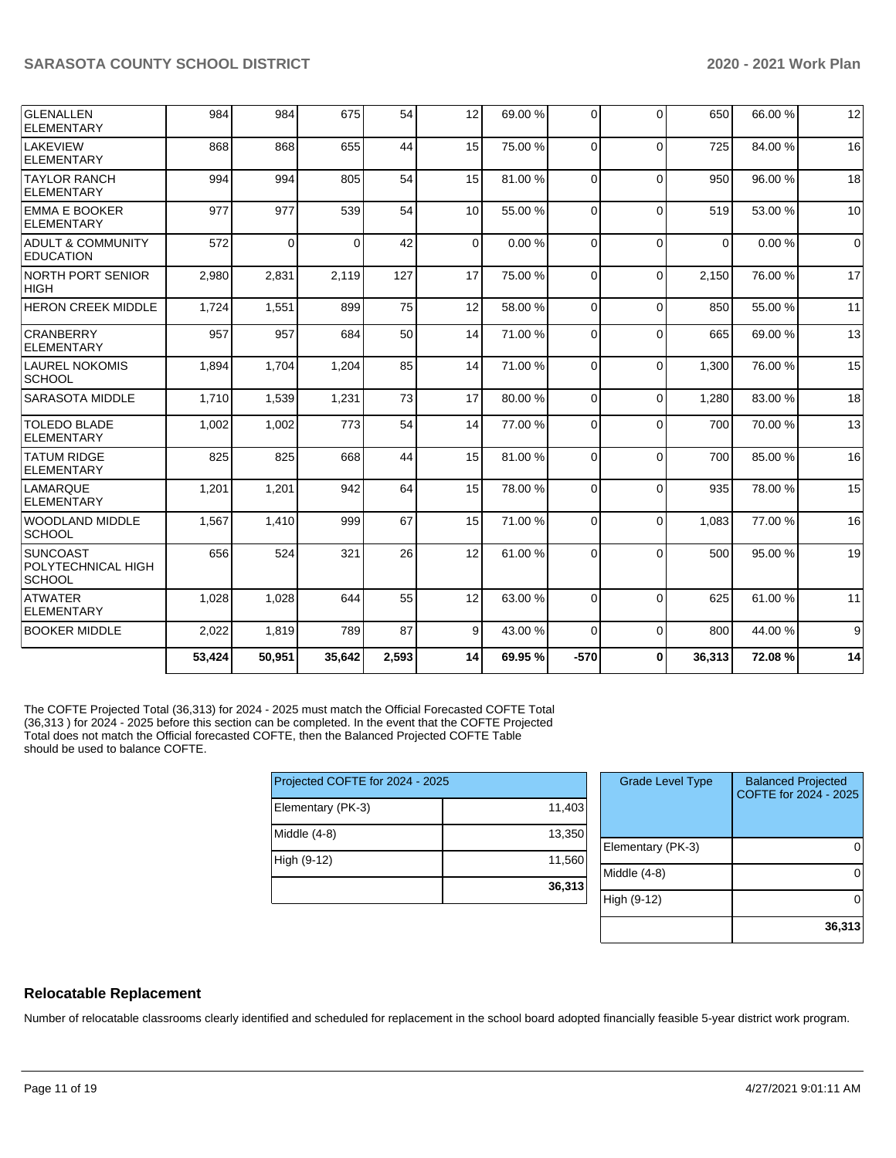| <b>GLENALLEN</b><br><b>ELEMENTARY</b>                  | 984    | 984      | 675      | 54    | 12       | 69.00 % | $\Omega$ | $\Omega$ | 650      | 66.00 % | 12          |
|--------------------------------------------------------|--------|----------|----------|-------|----------|---------|----------|----------|----------|---------|-------------|
| LAKEVIEW<br>ELEMENTARY                                 | 868    | 868      | 655      | 44    | 15       | 75.00 % | $\Omega$ | $\Omega$ | 725      | 84.00 % | 16          |
| <b>TAYLOR RANCH</b><br>ELEMENTARY                      | 994    | 994      | 805      | 54    | 15       | 81.00%  | $\Omega$ | $\Omega$ | 950      | 96.00 % | 18          |
| EMMA E BOOKER<br>ELEMENTARY                            | 977    | 977      | 539      | 54    | 10       | 55.00 % | $\Omega$ | $\Omega$ | 519      | 53.00 % | 10          |
| ADULT & COMMUNITY<br><b>EDUCATION</b>                  | 572    | $\Omega$ | $\Omega$ | 42    | $\Omega$ | 0.00%   | 0        | $\Omega$ | $\Omega$ | 0.00%   | $\mathbf 0$ |
| <b>NORTH PORT SENIOR</b><br> HIGH                      | 2,980  | 2,831    | 2,119    | 127   | 17       | 75.00 % | $\Omega$ | $\Omega$ | 2,150    | 76.00 % | 17          |
| <b>HERON CREEK MIDDLE</b>                              | 1,724  | 1,551    | 899      | 75    | 12       | 58.00 % | $\Omega$ | $\Omega$ | 850      | 55.00 % | 11          |
| <b>CRANBERRY</b><br><b>ELEMENTARY</b>                  | 957    | 957      | 684      | 50    | 14       | 71.00 % | 0        | $\Omega$ | 665      | 69.00 % | 13          |
| <b>LAUREL NOKOMIS</b><br><b>SCHOOL</b>                 | 1,894  | 1,704    | 1,204    | 85    | 14       | 71.00 % | $\Omega$ | $\Omega$ | 1,300    | 76.00 % | 15          |
| <b>SARASOTA MIDDLE</b>                                 | 1,710  | 1,539    | 1,231    | 73    | 17       | 80.00 % | $\Omega$ | $\Omega$ | 1,280    | 83.00 % | 18          |
| <b>TOLEDO BLADE</b><br>ELEMENTARY                      | 1,002  | 1,002    | 773      | 54    | 14       | 77.00 % | 0        | $\Omega$ | 700      | 70.00 % | 13          |
| <b>TATUM RIDGE</b><br>ELEMENTARY                       | 825    | 825      | 668      | 44    | 15       | 81.00%  | $\Omega$ | $\Omega$ | 700      | 85.00 % | 16          |
| LAMARQUE<br>ELEMENTARY                                 | 1,201  | 1,201    | 942      | 64    | 15       | 78.00 % | $\Omega$ | $\Omega$ | 935      | 78.00 % | 15          |
| WOODLAND MIDDLE<br><b>SCHOOL</b>                       | 1,567  | 1,410    | 999      | 67    | 15       | 71.00 % | $\Omega$ | $\Omega$ | 1,083    | 77.00 % | 16          |
| <b>SUNCOAST</b><br>POLYTECHNICAL HIGH<br><b>SCHOOL</b> | 656    | 524      | 321      | 26    | 12       | 61.00%  | 0        | $\Omega$ | 500      | 95.00 % | 19          |
| <b>ATWATER</b><br>ELEMENTARY                           | 1,028  | 1,028    | 644      | 55    | 12       | 63.00 % | $\Omega$ | $\Omega$ | 625      | 61.00 % | 11          |
| <b>BOOKER MIDDLE</b>                                   | 2,022  | 1,819    | 789      | 87    | 9        | 43.00 % | $\Omega$ | $\Omega$ | 800      | 44.00 % | 9           |
|                                                        | 53,424 | 50,951   | 35,642   | 2,593 | 14       | 69.95%  | $-570$   | $\bf{0}$ | 36,313   | 72.08%  | 14          |

The COFTE Projected Total (36,313) for 2024 - 2025 must match the Official Forecasted COFTE Total (36,313 ) for 2024 - 2025 before this section can be completed. In the event that the COFTE Projected Total does not match the Official forecasted COFTE, then the Balanced Projected COFTE Table should be used to balance COFTE.

| Projected COFTE for 2024 - 2025 |        |  |  |  |  |  |  |
|---------------------------------|--------|--|--|--|--|--|--|
| Elementary (PK-3)               | 11,403 |  |  |  |  |  |  |
| Middle (4-8)                    | 13,350 |  |  |  |  |  |  |
| High (9-12)                     | 11,560 |  |  |  |  |  |  |
|                                 | 36,313 |  |  |  |  |  |  |

| <b>Grade Level Type</b> | <b>Balanced Projected</b><br>COFTE for 2024 - 2025 |
|-------------------------|----------------------------------------------------|
| Elementary (PK-3)       |                                                    |
| Middle (4-8)            |                                                    |
| High (9-12)             |                                                    |
|                         | 36,313                                             |

### **Relocatable Replacement**

Number of relocatable classrooms clearly identified and scheduled for replacement in the school board adopted financially feasible 5-year district work program.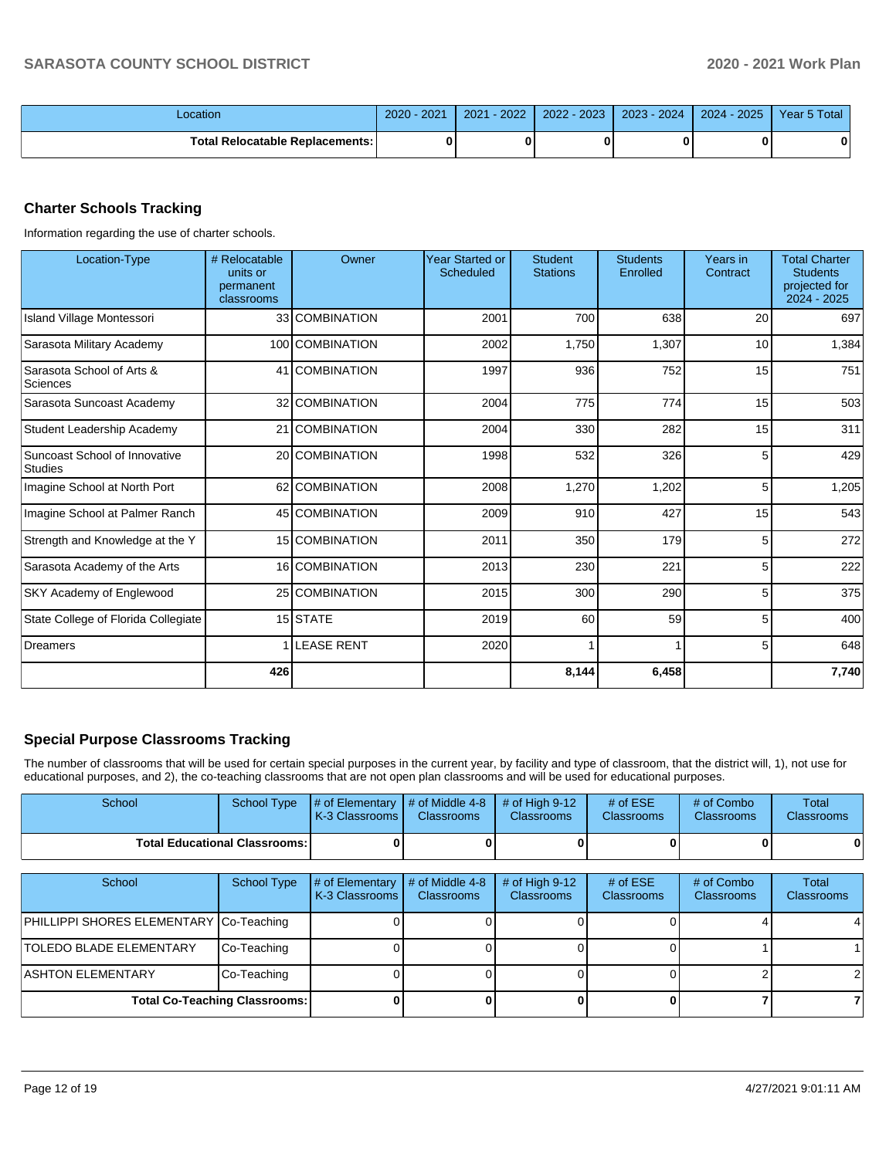| _ocation                          | $2020 -$<br>2021 | $-2022$<br>2021 | $-2023$<br>2022 | $2023 - 2024$ | $-2025$<br>2024 | Year 5 Total |
|-----------------------------------|------------------|-----------------|-----------------|---------------|-----------------|--------------|
| Total Relocatable Replacements: I |                  |                 |                 |               |                 |              |

## **Charter Schools Tracking**

Information regarding the use of charter schools.

| Location-Type                                   | # Relocatable<br>units or<br>permanent<br>classrooms | Owner             | <b>Year Started or</b><br>Scheduled | <b>Student</b><br><b>Stations</b> | <b>Students</b><br>Enrolled | Years in<br>Contract | <b>Total Charter</b><br><b>Students</b><br>projected for<br>2024 - 2025 |
|-------------------------------------------------|------------------------------------------------------|-------------------|-------------------------------------|-----------------------------------|-----------------------------|----------------------|-------------------------------------------------------------------------|
| Island Village Montessori                       |                                                      | 33 COMBINATION    | 2001                                | 700                               | 638                         | 20                   | 697                                                                     |
| Sarasota Military Academy                       |                                                      | 100 COMBINATION   | 2002                                | 1,750                             | 1,307                       | 10                   | 1,384                                                                   |
| Sarasota School of Arts &<br>Sciences           |                                                      | 41 COMBINATION    | 1997                                | 936                               | 752                         | 15                   | 751                                                                     |
| Sarasota Suncoast Academy                       |                                                      | 32 COMBINATION    | 2004                                | 775                               | 774                         | 15                   | 503                                                                     |
| Student Leadership Academy                      |                                                      | 21 COMBINATION    | 2004                                | 330                               | 282                         | 15                   | 311                                                                     |
| Suncoast School of Innovative<br><b>Studies</b> |                                                      | 20 COMBINATION    | 1998                                | 532                               | 326                         | 5                    | 429                                                                     |
| Imagine School at North Port                    |                                                      | 62 COMBINATION    | 2008                                | 1,270                             | 1,202                       | 5                    | 1,205                                                                   |
| Imagine School at Palmer Ranch                  |                                                      | 45 COMBINATION    | 2009                                | 910                               | 427                         | 15                   | 543                                                                     |
| Strength and Knowledge at the Y                 |                                                      | 15 COMBINATION    | 2011                                | 350                               | 179                         | 5                    | 272                                                                     |
| Sarasota Academy of the Arts                    |                                                      | 16 COMBINATION    | 2013                                | 230                               | 221                         | 5                    | 222                                                                     |
| SKY Academy of Englewood                        |                                                      | 25 COMBINATION    | 2015                                | 300                               | 290                         | 5                    | 375                                                                     |
| State College of Florida Collegiate             |                                                      | 15 STATE          | 2019                                | 60                                | 59                          | 5                    | 400                                                                     |
| <b>Dreamers</b>                                 |                                                      | <b>LEASE RENT</b> | 2020                                |                                   |                             | 5                    | 648                                                                     |
|                                                 | 426                                                  |                   |                                     | 8,144                             | 6,458                       |                      | 7,740                                                                   |

## **Special Purpose Classrooms Tracking**

The number of classrooms that will be used for certain special purposes in the current year, by facility and type of classroom, that the district will, 1), not use for educational purposes, and 2), the co-teaching classrooms that are not open plan classrooms and will be used for educational purposes.

| School                                  | <b>School Type</b> | # of Elementary<br>K-3 Classrooms | # of Middle 4-8<br><b>Classrooms</b> | # of High 9-12<br><b>Classrooms</b> | # of $ESE$<br><b>Classrooms</b> | # of Combo<br><b>Classrooms</b> | Total<br>Classrooms |
|-----------------------------------------|--------------------|-----------------------------------|--------------------------------------|-------------------------------------|---------------------------------|---------------------------------|---------------------|
| <b>Total Educational Classrooms:</b>    |                    |                                   |                                      |                                     |                                 |                                 |                     |
|                                         |                    |                                   |                                      |                                     |                                 |                                 |                     |
| School                                  | <b>School Type</b> | # of Elementary<br>K-3 Classrooms | # of Middle 4-8<br><b>Classrooms</b> | # of High 9-12<br>Classrooms        | # of $ESE$<br><b>Classrooms</b> | # of Combo<br><b>Classrooms</b> | Total<br>Classrooms |
| PHILLIPPI SHORES ELEMENTARY Co-Teaching |                    |                                   |                                      |                                     |                                 |                                 |                     |
| <b>TOLEDO BLADE ELEMENTARY</b>          | Co-Teaching        |                                   |                                      |                                     |                                 |                                 |                     |
| ASHTON ELEMENTARY                       | Co-Teaching        |                                   |                                      |                                     |                                 |                                 |                     |
| <b>Total Co-Teaching Classrooms:</b>    |                    |                                   | n                                    |                                     |                                 |                                 |                     |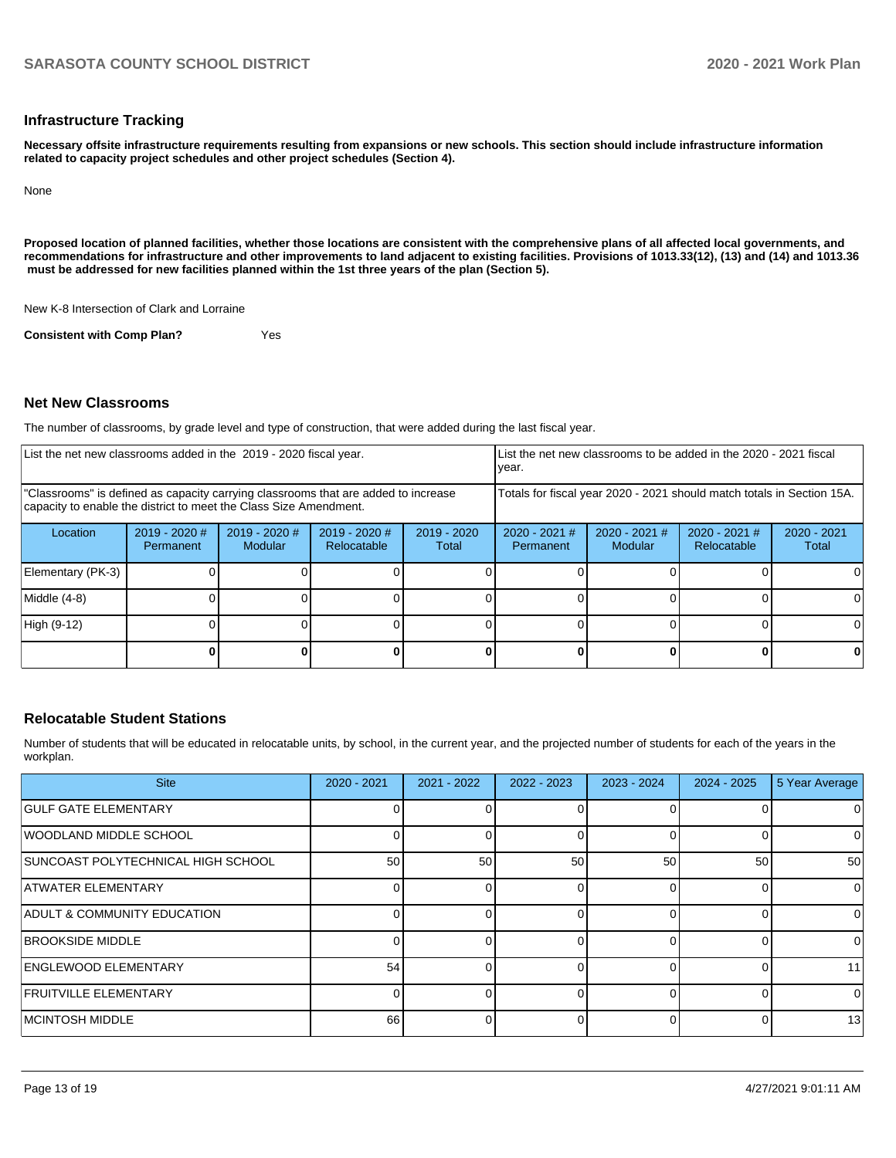#### **Infrastructure Tracking**

**Necessary offsite infrastructure requirements resulting from expansions or new schools. This section should include infrastructure information related to capacity project schedules and other project schedules (Section 4).** 

None

**Proposed location of planned facilities, whether those locations are consistent with the comprehensive plans of all affected local governments, and recommendations for infrastructure and other improvements to land adjacent to existing facilities. Provisions of 1013.33(12), (13) and (14) and 1013.36 must be addressed for new facilities planned within the 1st three years of the plan (Section 5).** 

New K-8 Intersection of Clark and Lorraine

**Consistent with Comp Plan?** Yes

#### **Net New Classrooms**

The number of classrooms, by grade level and type of construction, that were added during the last fiscal year.

| List the net new classrooms added in the 2019 - 2020 fiscal year.                                                                                       |                                     |                                   |                                                                        |                        | List the net new classrooms to be added in the 2020 - 2021 fiscal<br>year. |                            |                                |                        |
|---------------------------------------------------------------------------------------------------------------------------------------------------------|-------------------------------------|-----------------------------------|------------------------------------------------------------------------|------------------------|----------------------------------------------------------------------------|----------------------------|--------------------------------|------------------------|
| "Classrooms" is defined as capacity carrying classrooms that are added to increase<br>capacity to enable the district to meet the Class Size Amendment. |                                     |                                   | Totals for fiscal year 2020 - 2021 should match totals in Section 15A. |                        |                                                                            |                            |                                |                        |
| Location                                                                                                                                                | $2019 - 2020$ #<br><b>Permanent</b> | $2019 - 2020$ #<br><b>Modular</b> | $2019 - 2020$ #<br>Relocatable                                         | $2019 - 2020$<br>Total | $2020 - 2021$ #<br>Permanent                                               | $2020 - 2021$ #<br>Modular | $2020 - 2021$ #<br>Relocatable | $2020 - 2021$<br>Total |
| Elementary (PK-3)                                                                                                                                       |                                     |                                   |                                                                        |                        |                                                                            |                            |                                |                        |
| Middle (4-8)                                                                                                                                            |                                     |                                   |                                                                        |                        |                                                                            |                            |                                | 0                      |
| High (9-12)                                                                                                                                             |                                     |                                   |                                                                        |                        |                                                                            |                            |                                | U.                     |
|                                                                                                                                                         |                                     |                                   |                                                                        |                        |                                                                            |                            |                                |                        |

### **Relocatable Student Stations**

Number of students that will be educated in relocatable units, by school, in the current year, and the projected number of students for each of the years in the workplan.

| <b>Site</b>                            | $2020 - 2021$ | 2021 - 2022     | $2022 - 2023$ | $2023 - 2024$ | $2024 - 2025$ | 5 Year Average |
|----------------------------------------|---------------|-----------------|---------------|---------------|---------------|----------------|
| <b>GULF GATE ELEMENTARY</b>            |               |                 |               |               |               | 0              |
| <b>WOODLAND MIDDLE SCHOOL</b>          |               | n١              |               |               |               | $\Omega$       |
| SUNCOAST POLYTECHNICAL HIGH SCHOOL     | 50            | 50 <sub>1</sub> | 50            | 50            | 50            | 50             |
| <b>ATWATER ELEMENTARY</b>              |               | $\Omega$        | ∩             |               |               | $\mathbf 0$    |
| <b>ADULT &amp; COMMUNITY EDUCATION</b> |               | U.              | n             |               |               | 0              |
| <b>BROOKSIDE MIDDLE</b>                |               |                 |               |               |               | $\Omega$       |
| <b>ENGLEWOOD ELEMENTARY</b>            | 54            |                 |               |               |               | 11             |
| <b>FRUITVILLE ELEMENTARY</b>           |               |                 |               |               |               | 0              |
| <b>IMCINTOSH MIDDLE</b>                | 66            |                 |               |               |               | 13             |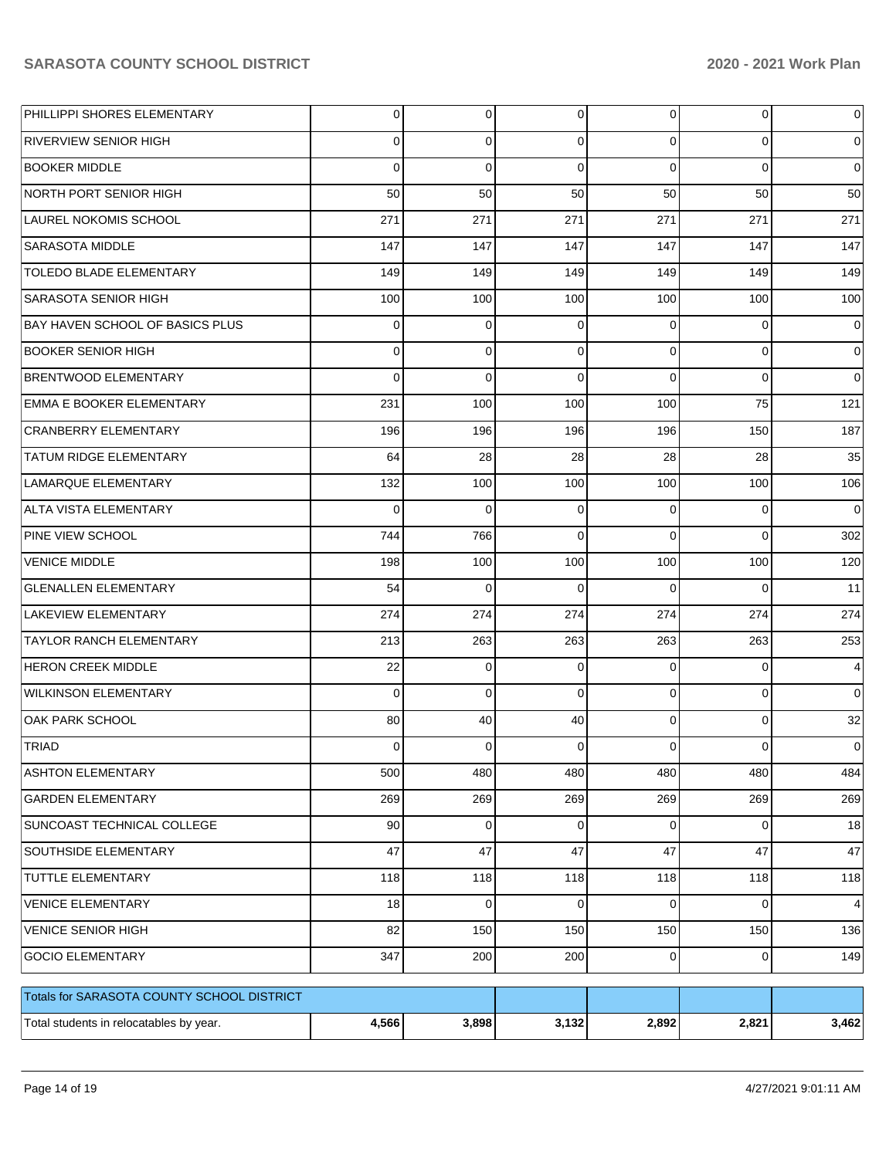| PHILLIPPI SHORES ELEMENTARY                | 0           | 0           | 0           | $\overline{0}$ | 0           | 0           |
|--------------------------------------------|-------------|-------------|-------------|----------------|-------------|-------------|
| RIVERVIEW SENIOR HIGH                      | 0           | 0           | 0           | $\Omega$       | 0           | 0           |
| <b>BOOKER MIDDLE</b>                       | 0           | 0           | $\Omega$    | $\Omega$       | $\Omega$    | $\mathbf 0$ |
| NORTH PORT SENIOR HIGH                     | 50          | 50          | 50          | 50             | 50          | 50          |
| LAUREL NOKOMIS SCHOOL                      | 271         | 271         | 271         | 271            | 271         | 271         |
| <b>SARASOTA MIDDLE</b>                     | 147         | 147         | 147         | 147            | 147         | 147         |
| <b>TOLEDO BLADE ELEMENTARY</b>             | 149         | 149         | 149         | 149            | 149         | 149         |
| <b>SARASOTA SENIOR HIGH</b>                | 100         | 100         | 100         | 100            | 100         | 100         |
| BAY HAVEN SCHOOL OF BASICS PLUS            | 0           | 0           | 0           | $\Omega$       | 0           | 0           |
| <b>BOOKER SENIOR HIGH</b>                  | 0           | 0           | $\Omega$    | $\Omega$       | $\mathbf 0$ | 0           |
| <b>BRENTWOOD ELEMENTARY</b>                | 0           | $\Omega$    | $\Omega$    | $\Omega$       | $\Omega$    | $\Omega$    |
| <b>EMMA E BOOKER ELEMENTARY</b>            | 231         | 100         | 100         | 100            | 75          | 121         |
| <b>CRANBERRY ELEMENTARY</b>                | 196         | 196         | 196         | 196            | 150         | 187         |
| <b>TATUM RIDGE ELEMENTARY</b>              | 64          | 28          | 28          | 28             | 28          | 35          |
| LAMARQUE ELEMENTARY                        | 132         | 100         | 100         | 100            | 100         | 106         |
| ALTA VISTA ELEMENTARY                      | $\mathbf 0$ | 0           | $\Omega$    | $\Omega$       | $\mathbf 0$ | $\mathbf 0$ |
| PINE VIEW SCHOOL                           | 744         | 766         | $\Omega$    | $\Omega$       | $\Omega$    | 302         |
| <b>VENICE MIDDLE</b>                       | 198         | 100         | 100         | 100            | 100         | 120         |
| <b>GLENALLEN ELEMENTARY</b>                | 54          | $\Omega$    | 0           | $\Omega$       | $\Omega$    | 11          |
| <b>LAKEVIEW ELEMENTARY</b>                 | 274         | 274         | 274         | 274            | 274         | 274         |
| <b>TAYLOR RANCH ELEMENTARY</b>             | 213         | 263         | 263         | 263            | 263         | 253         |
| <b>HERON CREEK MIDDLE</b>                  | 22          | 0           | 0           | $\Omega$       | $\mathbf 0$ | 4           |
| <b>WILKINSON ELEMENTARY</b>                | $\mathbf 0$ | 0           | $\Omega$    | $\Omega$       | $\mathbf 0$ | $\Omega$    |
| OAK PARK SCHOOL                            | 80          | 40          | 40          | $\Omega$       | $\mathbf 0$ | 32          |
| TRIAD                                      | 0           | 0           | 0           | $\Omega$       | 0           | 0           |
| <b>ASHTON ELEMENTARY</b>                   | 500         | 480         | 480         | 480            | 480         | 484         |
| <b>GARDEN ELEMENTARY</b>                   | 269         | 269         | 269         | 269            | 269         | 269         |
| SUNCOAST TECHNICAL COLLEGE                 | 90          | 0           | $\mathbf 0$ | $\overline{0}$ | 0           | 18          |
| <b>SOUTHSIDE ELEMENTARY</b>                | 47          | 47          | 47          | 47             | 47          | 47          |
| TUTTLE ELEMENTARY                          | 118         | 118         | 118         | 118            | 118         | 118         |
| <b>VENICE ELEMENTARY</b>                   | 18          | $\mathbf 0$ | $\mathbf 0$ | $\Omega$       | 0           | 4           |
| <b>VENICE SENIOR HIGH</b>                  | 82          | 150         | 150         | 150            | 150         | 136         |
| <b>GOCIO ELEMENTARY</b>                    | 347         | 200         | 200         | $\overline{0}$ | $\mathbf 0$ | 149         |
| Totals for SARASOTA COUNTY SCHOOL DISTRICT |             |             |             |                |             |             |
| Total students in relocatables by year.    | 4,566       | 3,898       | 3,132       | 2,892          | 2,821       | 3,462       |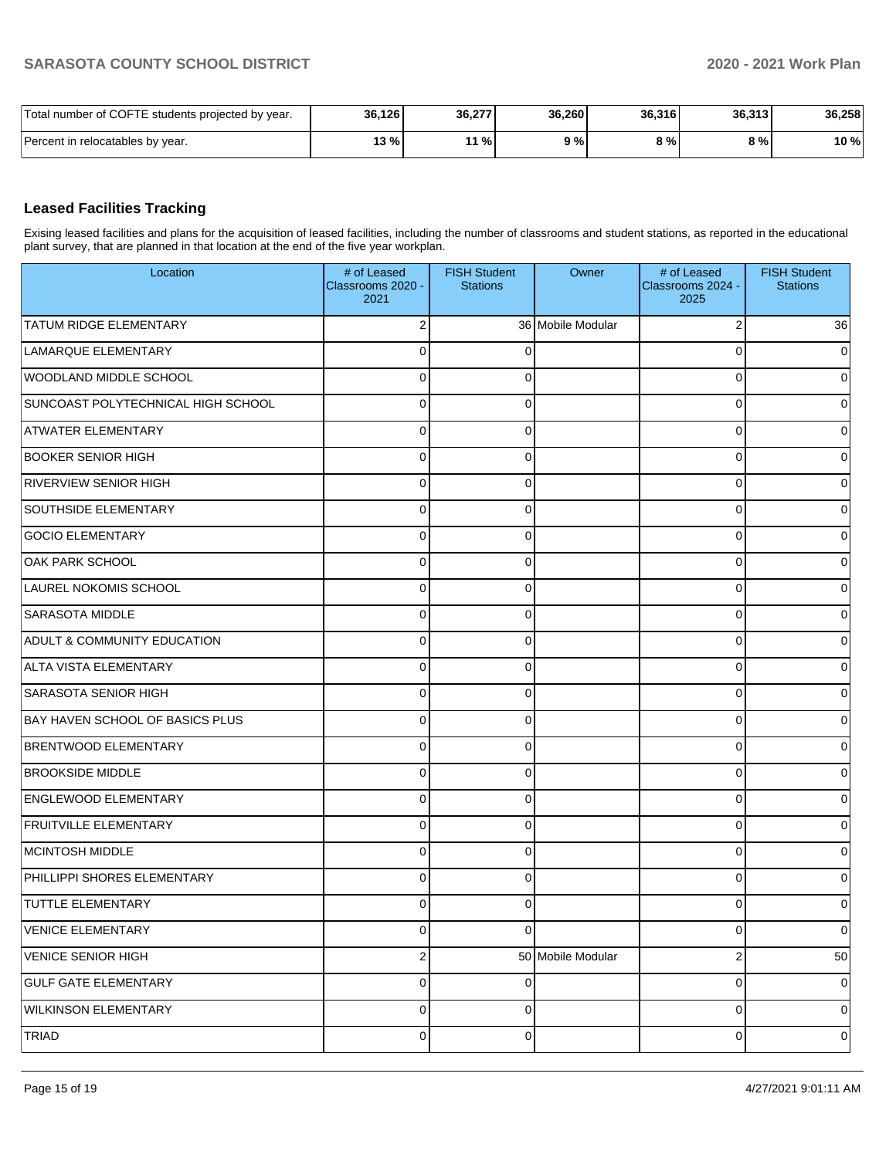| Total number of COFTE students projected by year. | 36,126 | 36,277 | 36.260 | 36,316 | 36.313 | 36,258 |
|---------------------------------------------------|--------|--------|--------|--------|--------|--------|
| Percent in relocatables by year.                  | 13 %   | 11 %   | 9%     | 9%1    | 8 % l  | 10 %   |

#### **Leased Facilities Tracking**

Exising leased facilities and plans for the acquisition of leased facilities, including the number of classrooms and student stations, as reported in the educational plant survey, that are planned in that location at the end of the five year workplan.

| Location                               | # of Leased<br>Classrooms 2020 -<br>2021 | <b>FISH Student</b><br><b>Stations</b> | Owner             | # of Leased<br>Classrooms 2024 -<br>2025 | <b>FISH Student</b><br><b>Stations</b> |
|----------------------------------------|------------------------------------------|----------------------------------------|-------------------|------------------------------------------|----------------------------------------|
| <b>TATUM RIDGE ELEMENTARY</b>          | 2                                        |                                        | 36 Mobile Modular | 2                                        | 36                                     |
| LAMARQUE ELEMENTARY                    | 0                                        |                                        |                   | U                                        | $\Omega$                               |
| WOODLAND MIDDLE SCHOOL                 | 0                                        |                                        |                   | U                                        | 0                                      |
| SUNCOAST POLYTECHNICAL HIGH SCHOOL     | 0                                        | 0                                      |                   | 0                                        | 0                                      |
| <b>ATWATER ELEMENTARY</b>              | 0                                        |                                        |                   | 0                                        | 0                                      |
| <b>BOOKER SENIOR HIGH</b>              | 0                                        | ∩                                      |                   | 0                                        | 0                                      |
| <b>RIVERVIEW SENIOR HIGH</b>           | 0                                        |                                        |                   | 0                                        | 0                                      |
| <b>SOUTHSIDE ELEMENTARY</b>            | 0                                        | ſ                                      |                   | 0                                        | 0                                      |
| <b>GOCIO ELEMENTARY</b>                | 0                                        |                                        |                   | U                                        | 0                                      |
| <b>OAK PARK SCHOOL</b>                 | 0                                        |                                        |                   | 0                                        | 0                                      |
| LAUREL NOKOMIS SCHOOL                  | 0                                        |                                        |                   | U                                        | 0                                      |
| <b>SARASOTA MIDDLE</b>                 | 0                                        | ∩                                      |                   | 0                                        | 0                                      |
| <b>ADULT &amp; COMMUNITY EDUCATION</b> | 0                                        |                                        |                   | 0                                        | 0                                      |
| ALTA VISTA ELEMENTARY                  | 0                                        | ∩                                      |                   | 0                                        | 0                                      |
| SARASOTA SENIOR HIGH                   | 0                                        |                                        |                   | 0                                        | 0                                      |
| <b>BAY HAVEN SCHOOL OF BASICS PLUS</b> | 0                                        | ∩                                      |                   | 0                                        | 0                                      |
| <b>BRENTWOOD ELEMENTARY</b>            | 0                                        |                                        |                   | U                                        | 0                                      |
| <b>BROOKSIDE MIDDLE</b>                | 0                                        |                                        |                   | 0                                        | 0                                      |
| <b>ENGLEWOOD ELEMENTARY</b>            | 0                                        |                                        |                   | U                                        | 0                                      |
| <b>FRUITVILLE ELEMENTARY</b>           | 0                                        | ∩                                      |                   | 0                                        | 0                                      |
| MCINTOSH MIDDLE                        | 0                                        |                                        |                   | 0                                        | 0                                      |
| PHILLIPPI SHORES ELEMENTARY            | 0                                        | ∩                                      |                   | 0                                        | 0                                      |
| <b>TUTTLE ELEMENTARY</b>               | 0                                        | 0                                      |                   | 0                                        | 0                                      |
| <b>VENICE ELEMENTARY</b>               | 0                                        | $\Omega$                               |                   | 0                                        | $\overline{0}$                         |
| VENICE SENIOR HIGH                     | $\boldsymbol{2}$                         |                                        | 50 Mobile Modular | 2                                        | 50                                     |
| <b>GULF GATE ELEMENTARY</b>            | 0                                        | $\Omega$                               |                   | 0                                        | $\mathbf 0$                            |
| <b>WILKINSON ELEMENTARY</b>            | 0                                        | 0                                      |                   | 0                                        | 0                                      |
| <b>TRIAD</b>                           | 0                                        | 0                                      |                   | 0                                        | 0                                      |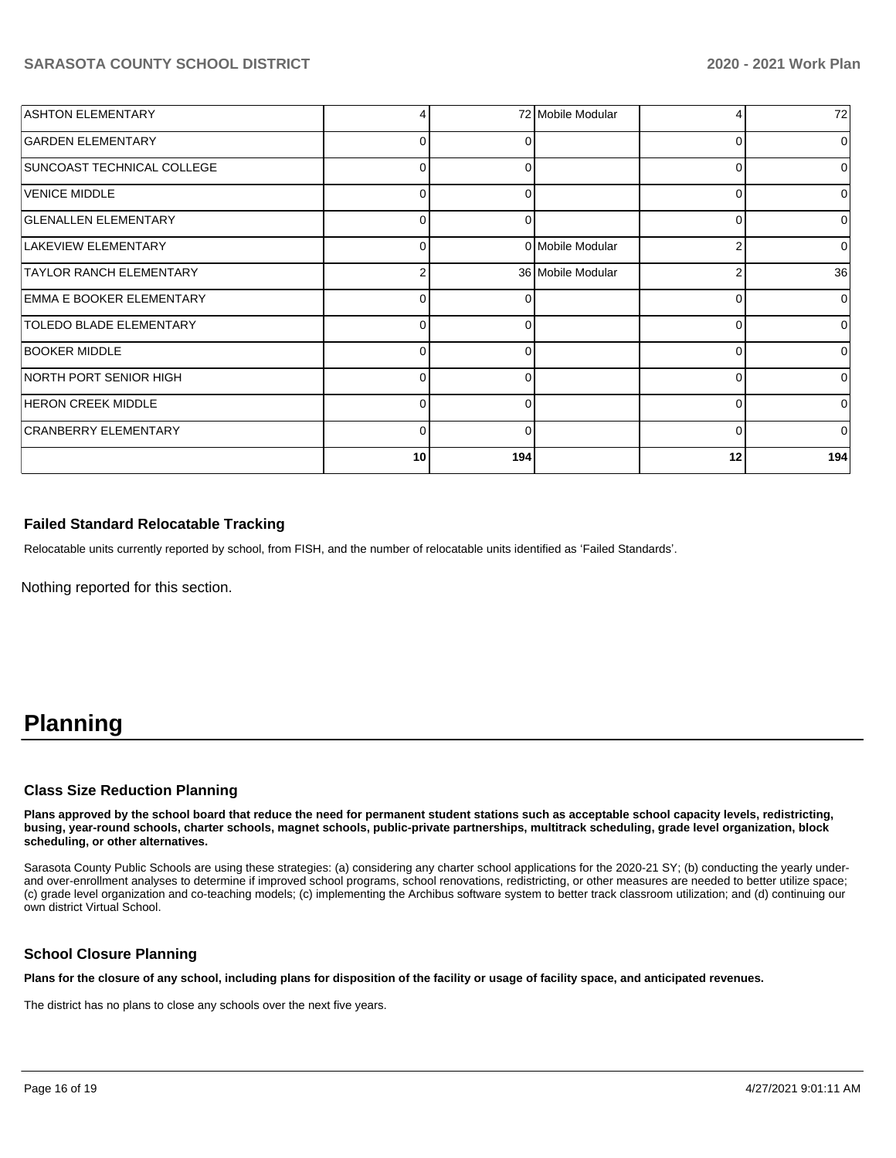| <b>ASHTON ELEMENTARY</b>       |              |          | 72 Mobile Modular | 4              | 72           |
|--------------------------------|--------------|----------|-------------------|----------------|--------------|
| <b>GARDEN ELEMENTARY</b>       |              | 0        |                   | $\Omega$       | <sup>0</sup> |
| SUNCOAST TECHNICAL COLLEGE     | 0            | 0        |                   | 0              | $\Omega$     |
| VENICE MIDDLE                  | 0            | 0        |                   | $\Omega$       |              |
| <b>GLENALLEN ELEMENTARY</b>    | 0            | $\Omega$ |                   | $\Omega$       |              |
| LAKEVIEW ELEMENTARY            | <sup>0</sup> |          | 0 Mobile Modular  | $\overline{2}$ | $\Omega$     |
| <b>TAYLOR RANCH ELEMENTARY</b> | 2            |          | 36 Mobile Modular | 2              | 36           |
| EMMA E BOOKER ELEMENTARY       | 0            | 0        |                   | $\Omega$       | $\Omega$     |
| <b>TOLEDO BLADE ELEMENTARY</b> | <sup>0</sup> | $\Omega$ |                   | $\Omega$       | <sup>0</sup> |
| <b>BOOKER MIDDLE</b>           | 0            | 0        |                   | $\Omega$       | $\Omega$     |
| NORTH PORT SENIOR HIGH         | 0            | 0        |                   | 0              | 0            |
| <b>HERON CREEK MIDDLE</b>      |              | $\Omega$ |                   | 0              | U            |
| CRANBERRY ELEMENTARY           | 0            | 0        |                   | $\Omega$       | $\Omega$     |
|                                | 10           | 194      |                   | 12             | 194          |

#### **Failed Standard Relocatable Tracking**

Relocatable units currently reported by school, from FISH, and the number of relocatable units identified as 'Failed Standards'.

Nothing reported for this section.

# **Planning**

#### **Class Size Reduction Planning**

**Plans approved by the school board that reduce the need for permanent student stations such as acceptable school capacity levels, redistricting, busing, year-round schools, charter schools, magnet schools, public-private partnerships, multitrack scheduling, grade level organization, block scheduling, or other alternatives.**

Sarasota County Public Schools are using these strategies: (a) considering any charter school applications for the 2020-21 SY; (b) conducting the yearly underand over-enrollment analyses to determine if improved school programs, school renovations, redistricting, or other measures are needed to better utilize space; (c) grade level organization and co-teaching models; (c) implementing the Archibus software system to better track classroom utilization; and (d) continuing our own district Virtual School.

#### **School Closure Planning**

**Plans for the closure of any school, including plans for disposition of the facility or usage of facility space, and anticipated revenues.** 

The district has no plans to close any schools over the next five years.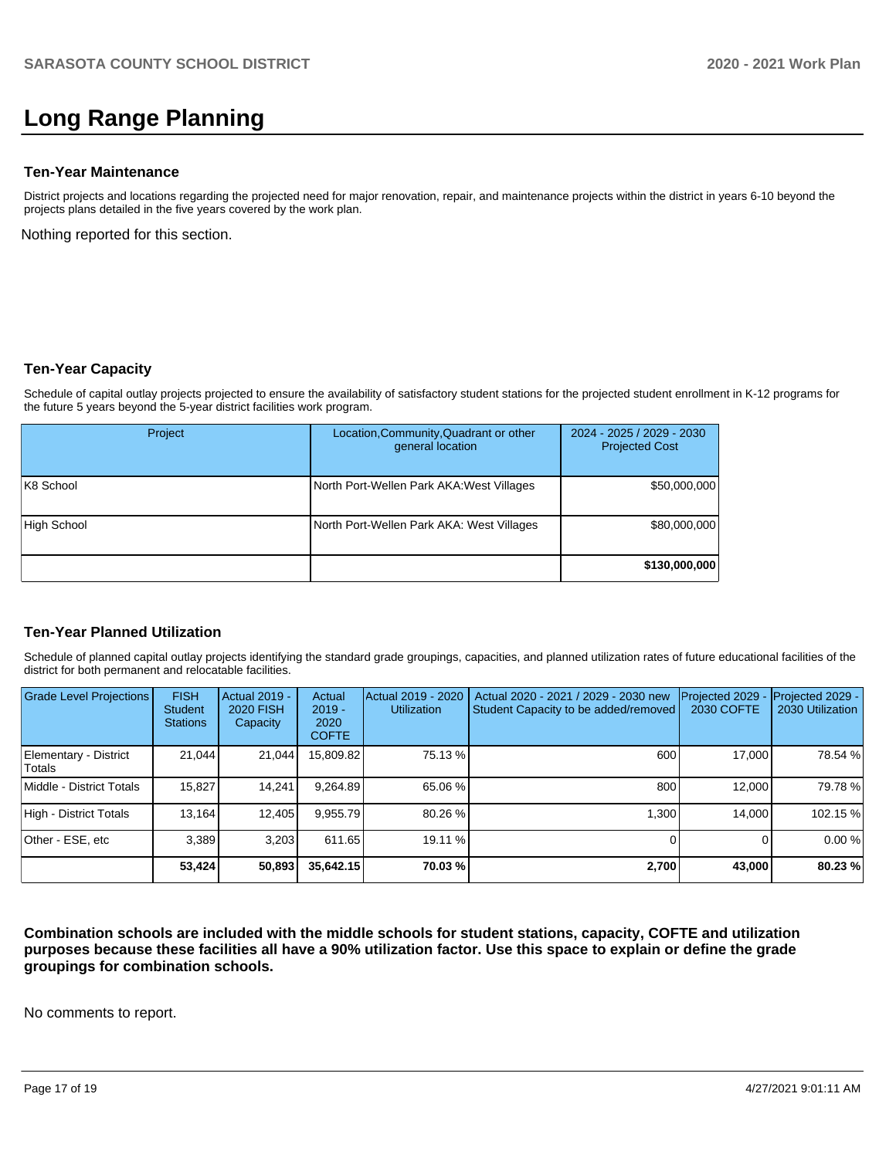# **Long Range Planning**

#### **Ten-Year Maintenance**

District projects and locations regarding the projected need for major renovation, repair, and maintenance projects within the district in years 6-10 beyond the projects plans detailed in the five years covered by the work plan.

Nothing reported for this section.

#### **Ten-Year Capacity**

Schedule of capital outlay projects projected to ensure the availability of satisfactory student stations for the projected student enrollment in K-12 programs for the future 5 years beyond the 5-year district facilities work program.

| Project     | Location, Community, Quadrant or other<br>general location | 2024 - 2025 / 2029 - 2030<br><b>Projected Cost</b> |
|-------------|------------------------------------------------------------|----------------------------------------------------|
| K8 School   | North Port-Wellen Park AKA: West Villages                  | \$50,000,000                                       |
| High School | North Port-Wellen Park AKA: West Villages                  | \$80,000,000                                       |
|             |                                                            | \$130,000,000                                      |

### **Ten-Year Planned Utilization**

Schedule of planned capital outlay projects identifying the standard grade groupings, capacities, and planned utilization rates of future educational facilities of the district for both permanent and relocatable facilities.

| <b>Grade Level Projections</b>  | <b>FISH</b><br><b>Student</b><br><b>Stations</b> | <b>Actual 2019 -</b><br><b>2020 FISH</b><br>Capacity | Actual<br>$2019 -$<br>2020<br><b>COFTE</b> | Actual 2019 - 2020<br><b>Utilization</b> | Actual 2020 - 2021 / 2029 - 2030 new<br>Student Capacity to be added/removed | Projected 2029<br>2030 COFTE | Projected 2029 -<br>2030 Utilization |
|---------------------------------|--------------------------------------------------|------------------------------------------------------|--------------------------------------------|------------------------------------------|------------------------------------------------------------------------------|------------------------------|--------------------------------------|
| Elementary - District<br>Totals | 21.044                                           | 21,044                                               | 15,809.82                                  | 75.13 %                                  | 600                                                                          | 17.000                       | 78.54 %                              |
| Middle - District Totals        | 15.827                                           | 14.241                                               | 9,264.89                                   | 65.06 %                                  | 800                                                                          | 12.000                       | 79.78 %                              |
| High - District Totals          | 13,164                                           | 12,405                                               | 9.955.79                                   | 80.26 %                                  | 1,300                                                                        | 14.000                       | 102.15 %                             |
| Other - ESE, etc                | 3.389                                            | 3.203                                                | 611.65                                     | 19.11 %                                  |                                                                              |                              | 0.00 %                               |
|                                 | 53,424                                           | 50,893                                               | 35,642.15                                  | 70.03 %                                  | 2,700                                                                        | 43,000                       | 80.23 %                              |

**Combination schools are included with the middle schools for student stations, capacity, COFTE and utilization purposes because these facilities all have a 90% utilization factor. Use this space to explain or define the grade groupings for combination schools.** 

No comments to report.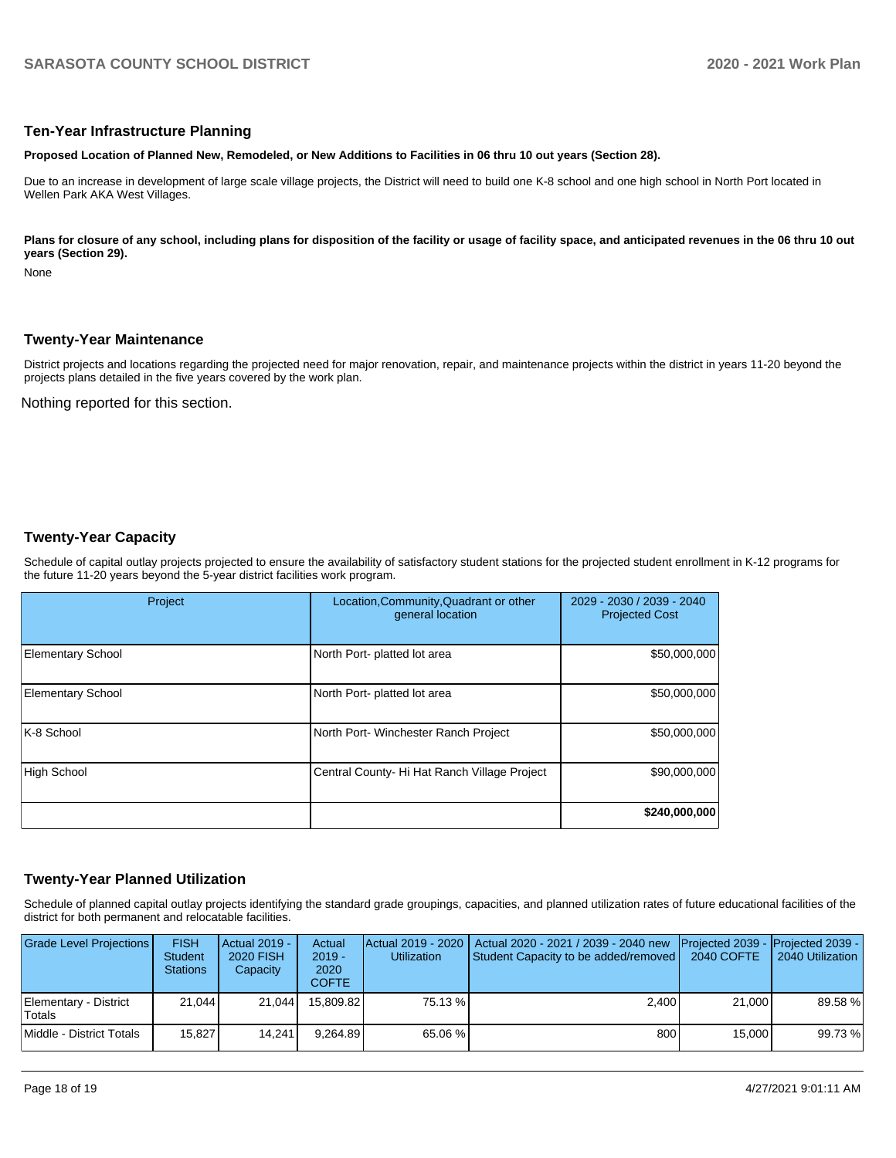#### **Ten-Year Infrastructure Planning**

**Proposed Location of Planned New, Remodeled, or New Additions to Facilities in 06 thru 10 out years (Section 28).**

Due to an increase in development of large scale village projects, the District will need to build one K-8 school and one high school in North Port located in Wellen Park AKA West Villages.

Plans for closure of any school, including plans for disposition of the facility or usage of facility space, and anticipated revenues in the 06 thru 10 out **years (Section 29).**

None

#### **Twenty-Year Maintenance**

District projects and locations regarding the projected need for major renovation, repair, and maintenance projects within the district in years 11-20 beyond the projects plans detailed in the five years covered by the work plan.

Nothing reported for this section.

#### **Twenty-Year Capacity**

Schedule of capital outlay projects projected to ensure the availability of satisfactory student stations for the projected student enrollment in K-12 programs for the future 11-20 years beyond the 5-year district facilities work program.

| Project                  | Location, Community, Quadrant or other<br>general location | 2029 - 2030 / 2039 - 2040<br><b>Projected Cost</b> |
|--------------------------|------------------------------------------------------------|----------------------------------------------------|
| <b>Elementary School</b> | North Port- platted lot area                               | \$50,000,000                                       |
| <b>Elementary School</b> | North Port- platted lot area                               | \$50,000,000                                       |
| K-8 School               | North Port-Winchester Ranch Project                        | \$50,000,000                                       |
| <b>High School</b>       | Central County- Hi Hat Ranch Village Project               | \$90,000,000                                       |
|                          |                                                            | \$240,000,000                                      |

### **Twenty-Year Planned Utilization**

Schedule of planned capital outlay projects identifying the standard grade groupings, capacities, and planned utilization rates of future educational facilities of the district for both permanent and relocatable facilities.

| Grade Level Projections         | <b>FISH</b><br><b>Student</b><br><b>Stations</b> | Actual 2019 -<br><b>2020 FISH</b><br>Capacity | Actual<br>$2019 -$<br>2020<br><b>COFTE</b> | <b>Utilization</b> | Actual 2019 - 2020   Actual 2020 - 2021 / 2039 - 2040 new<br>Student Capacity to be added/removed | <b>IProjected 2039 - IProjected 2039 -</b><br>2040 COFTE | 2040 Utilization |
|---------------------------------|--------------------------------------------------|-----------------------------------------------|--------------------------------------------|--------------------|---------------------------------------------------------------------------------------------------|----------------------------------------------------------|------------------|
| Elementary - District<br>Totals | 21.044                                           | 21.044                                        | 15.809.82                                  | 75.13 %            | 2.400                                                                                             | 21,000                                                   | 89.58 %          |
| Middle - District Totals        | 15.827                                           | 14.241                                        | 9.264.89                                   | 65.06 %            | 800                                                                                               | 15,000                                                   | 99.73 %          |